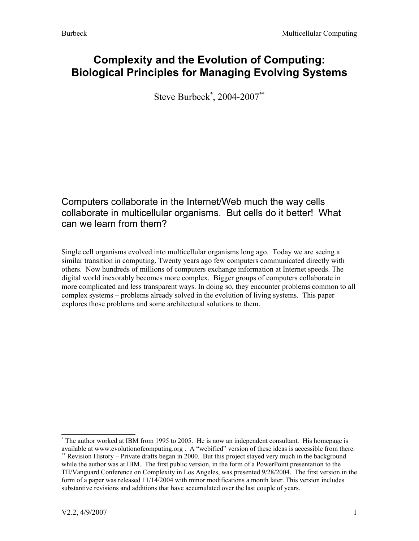### **Complexity and the Evolution of Computing: Biological Principles for Managing Evolving Systems**

Steve Burbeck [\\*](#page-0-0) , 2004-2007[\\*\\*](#page-0-1)

### Computers collaborate in the Internet/Web much the way cells collaborate in multicellular organisms. But cells do it better! What can we learn from them?

Single cell organisms evolved into multicellular organisms long ago. Today we are seeing a similar transition in computing. Twenty years ago few computers communicated directly with others. Now hundreds of millions of computers exchange information at Internet speeds. The digital world inexorably becomes more complex. Bigger groups of computers collaborate in more complicated and less transparent ways. In doing so, they encounter problems common to all complex systems – problems already solved in the evolution of living systems. This paper explores those problems and some architectural solutions to them.

<span id="page-0-0"></span><sup>\*</sup> The author worked at IBM from 1995 to 2005. He is now an independent consultant. His homepage is available at www.evolutionofcomputing.org . A "webified" version of these ideas is accessible from there.

<span id="page-0-1"></span><sup>\*\*</sup> Revision History – Private drafts began in 2000. But this project stayed very much in the background while the author was at IBM. The first public version, in the form of a PowerPoint presentation to the TII/Vanguard Conference on Complexity in Los Angeles, was presented 9/28/2004. The first version in the form of a paper was released 11/14/2004 with minor modifications a month later. This version includes substantive revisions and additions that have accumulated over the last couple of years.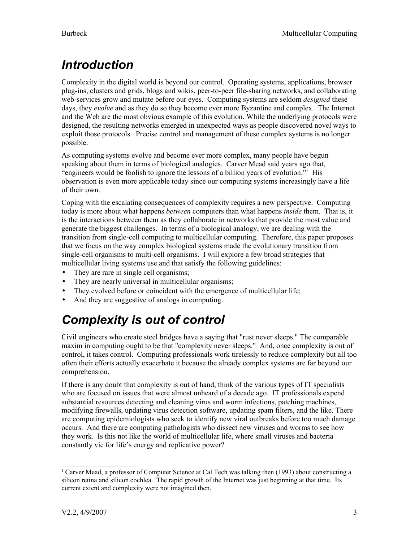# <span id="page-2-1"></span>*Introduction*

Complexity in the digital world is beyond our control. Operating systems, applications, browser plug-ins, clusters and grids, blogs and wikis, peer-to-peer file-sharing networks, and collaborating web-services grow and mutate before our eyes. Computing systems are seldom *designed* these days, they *evolve* and as they do so they become ever more Byzantine and complex. The Internet and the Web are the most obvious example of this evolution. While the underlying protocols were designed, the resulting networks emerged in unexpected ways as people discovered novel ways to exploit those protocols. Precise control and management of these complex systems is no longer possible.

As computing systems evolve and become ever more complex, many people have begun speaking about them in terms of biological analogies. Carver Mead said years ago that, "engineers would be foolish to ignore the lessons of a billion years of evolution."[1](#page-2-2) His observation is even more applicable today since our computing systems increasingly have a life of their own.

Coping with the escalating consequences of complexity requires a new perspective. Computing today is more about what happens *between* computers than what happens *inside* them. That is, it is the interactions between them as they collaborate in networks that provide the most value and generate the biggest challenges. In terms of a biological analogy, we are dealing with the transition from single-cell computing to multicellular computing. Therefore, this paper proposes that we focus on the way complex biological systems made the evolutionary transition from single-cell organisms to multi-cell organisms. I will explore a few broad strategies that multicellular living systems use and that satisfy the following guidelines:

- They are rare in single cell organisms;
- They are nearly universal in multicellular organisms;
- They evolved before or coincident with the emergence of multicellular life;
- And they are suggestive of analogs in computing.

# <span id="page-2-0"></span>*Complexity is out of control*

Civil engineers who create steel bridges have a saying that "rust never sleeps." The comparable maxim in computing ought to be that "complexity never sleeps." And, once complexity is out of control, it takes control. Computing professionals work tirelessly to reduce complexity but all too often their efforts actually exacerbate it because the already complex systems are far beyond our comprehension.

If there is any doubt that complexity is out of hand, think of the various types of IT specialists who are focused on issues that were almost unheard of a decade ago. IT professionals expend substantial resources detecting and cleaning virus and worm infections, patching machines, modifying firewalls, updating virus detection software, updating spam filters, and the like. There are computing epidemiologists who seek to identify new viral outbreaks before too much damage occurs. And there are computing pathologists who dissect new viruses and worms to see how they work. Is this not like the world of multicellular life, where small viruses and bacteria constantly vie for life's energy and replicative power?

<span id="page-2-2"></span><sup>1</sup> Carver Mead, a professor of Computer Science at Cal Tech was talking then (1993) about constructing a silicon retina and silicon cochlea. The rapid growth of the Internet was just beginning at that time. Its current extent and complexity were not imagined then.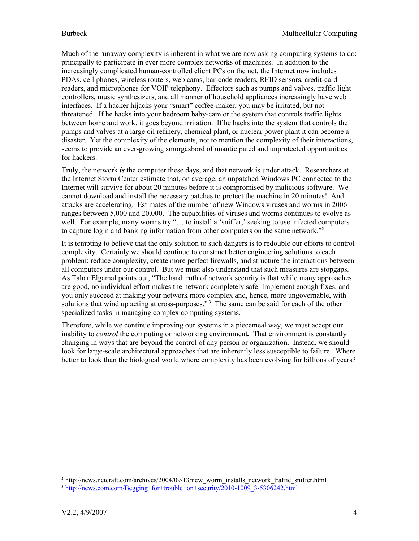Much of the runaway complexity is inherent in what we are now asking computing systems to do: principally to participate in ever more complex networks of machines. In addition to the increasingly complicated human-controlled client PCs on the net, the Internet now includes PDAs, cell phones, wireless routers, web cams, bar-code readers, RFID sensors, credit-card readers, and microphones for VOIP telephony. Effectors such as pumps and valves, traffic light controllers, music synthesizers, and all manner of household appliances increasingly have web interfaces. If a hacker hijacks your "smart" coffee-maker, you may be irritated, but not threatened. If he hacks into your bedroom baby-cam or the system that controls traffic lights between home and work, it goes beyond irritation. If he hacks into the system that controls the pumps and valves at a large oil refinery, chemical plant, or nuclear power plant it can become a disaster. Yet the complexity of the elements, not to mention the complexity of their interactions, seems to provide an ever-growing smorgasbord of unanticipated and unprotected opportunities for hackers.

Truly, the network *is* the computer these days, and that network is under attack. Researchers at the Internet Storm Center estimate that, on average, an unpatched Windows PC connected to the Internet will survive for about 20 minutes before it is compromised by malicious software. We cannot download and install the necessary patches to protect the machine in 20 minutes! And attacks are accelerating. Estimates of the number of new Windows viruses and worms in 2006 ranges between 5,000 and 20,000. The capabilities of viruses and worms continues to evolve as well. For example, many worms try "... to install a 'sniffer,' seeking to use infected computers to capture login and banking information from other computers on the same network."<sup>[2](#page-3-0)</sup>

It is tempting to believe that the only solution to such dangers is to redouble our efforts to control complexity. Certainly we should continue to construct better engineering solutions to each problem: reduce complexity, create more perfect firewalls, and structure the interactions between all computers under our control. But we must also understand that such measures are stopgaps. As Tahar Elgamal points out, "The hard truth of network security is that while many approaches are good, no individual effort makes the network completely safe. Implement enough fixes, and you only succeed at making your network more complex and, hence, more ungovernable, with solutions that wind up acting at cross-purposes."<sup>[3](#page-3-1)</sup> The same can be said for each of the other specialized tasks in managing complex computing systems.

Therefore, while we continue improving our systems in a piecemeal way, we must accept our inability to *control* the computing or networking environment*.* That environment is constantly changing in ways that are beyond the control of any person or organization. Instead, we should look for large-scale architectural approaches that are inherently less susceptible to failure. Where better to look than the biological world where complexity has been evolving for billions of years?

<span id="page-3-0"></span><sup>&</sup>lt;sup>2</sup> http://news.netcraft.com/archives/2004/09/13/new\_worm\_installs\_network\_traffic\_sniffer.html

<span id="page-3-1"></span><sup>&</sup>lt;sup>3</sup> [http://news.com.com/Begging+for+trouble+on+security/2010-1009\\_3-5306242.html](http://news.com.com/Begging+for+trouble+on+security/2010-1009_3-5306242.html)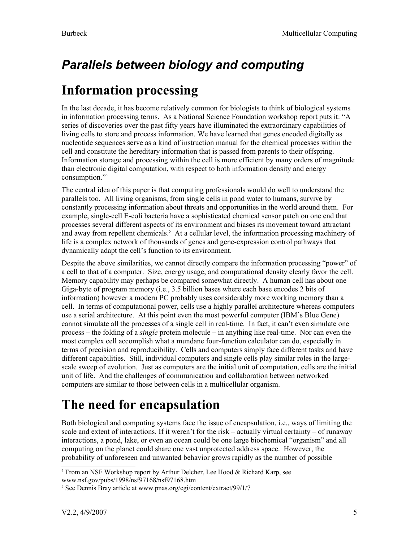# <span id="page-4-2"></span>*Parallels between biology and computing*

# <span id="page-4-1"></span>**Information processing**

In the last decade, it has become relatively common for biologists to think of biological systems in information processing terms. As a National Science Foundation workshop report puts it: "A series of discoveries over the past fifty years have illuminated the extraordinary capabilities of living cells to store and process information. We have learned that genes encoded digitally as nucleotide sequences serve as a kind of instruction manual for the chemical processes within the cell and constitute the hereditary information that is passed from parents to their offspring. Information storage and processing within the cell is more efficient by many orders of magnitude than electronic digital computation, with respect to both information density and energy consumption."[4](#page-4-3)

The central idea of this paper is that computing professionals would do well to understand the parallels too. All living organisms, from single cells in pond water to humans, survive by constantly processing information about threats and opportunities in the world around them. For example, single-cell E-coli bacteria have a sophisticated chemical sensor patch on one end that processes several different aspects of its environment and biases its movement toward attractant and away from repellent chemicals. [5](#page-4-4) At a cellular level, the information processing machinery of life is a complex network of thousands of genes and gene-expression control pathways that dynamically adapt the cell's function to its environment.

Despite the above similarities, we cannot directly compare the information processing "power" of a cell to that of a computer. Size, energy usage, and computational density clearly favor the cell. Memory capability may perhaps be compared somewhat directly. A human cell has about one Giga-byte of program memory (i.e., 3.5 billion bases where each base encodes 2 bits of information) however a modern PC probably uses considerably more working memory than a cell. In terms of computational power, cells use a highly parallel architecture whereas computers use a serial architecture. At this point even the most powerful computer (IBM's Blue Gene) cannot simulate all the processes of a single cell in real-time. In fact, it can't even simulate one process – the folding of a *single* protein molecule – in anything like real-time. Nor can even the most complex cell accomplish what a mundane four-function calculator can do, especially in terms of precision and reproducibility. Cells and computers simply face different tasks and have different capabilities. Still, individual computers and single cells play similar roles in the largescale sweep of evolution. Just as computers are the initial unit of computation, cells are the initial unit of life. And the challenges of communication and collaboration between networked computers are similar to those between cells in a multicellular organism.

# <span id="page-4-0"></span>**The need for encapsulation**

Both biological and computing systems face the issue of encapsulation, i.e., ways of limiting the scale and extent of interactions. If it weren't for the risk – actually virtual certainty – of runaway interactions, a pond, lake, or even an ocean could be one large biochemical "organism" and all computing on the planet could share one vast unprotected address space. However, the probability of unforeseen and unwanted behavior grows rapidly as the number of possible

<span id="page-4-3"></span><sup>&</sup>lt;sup>4</sup> From an NSF Workshop report by Arthur Delcher, Lee Hood & Richard Karp, see www.nsf.gov/pubs/1998/nsf97168/nsf97168.htm

<span id="page-4-4"></span><sup>5</sup> See Dennis Bray article at www.pnas.org/cgi/content/extract/99/1/7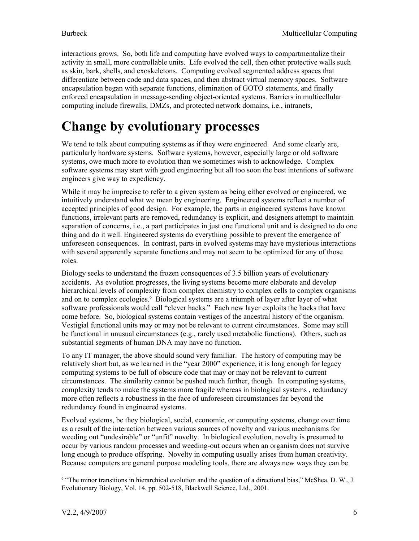interactions grows. So, both life and computing have evolved ways to compartmentalize their activity in small, more controllable units. Life evolved the cell, then other protective walls such as skin, bark, shells, and exoskeletons. Computing evolved segmented address spaces that differentiate between code and data spaces, and then abstract virtual memory spaces. Software encapsulation began with separate functions, elimination of GOTO statements, and finally enforced encapsulation in message-sending object-oriented systems. Barriers in multicellular computing include firewalls, DMZs, and protected network domains, i.e., intranets,

# <span id="page-5-0"></span>**Change by evolutionary processes**

We tend to talk about computing systems as if they were engineered. And some clearly are, particularly hardware systems. Software systems, however, especially large or old software systems, owe much more to evolution than we sometimes wish to acknowledge. Complex software systems may start with good engineering but all too soon the best intentions of software engineers give way to expediency.

While it may be imprecise to refer to a given system as being either evolved or engineered, we intuitively understand what we mean by engineering. Engineered systems reflect a number of accepted principles of good design. For example, the parts in engineered systems have known functions, irrelevant parts are removed, redundancy is explicit, and designers attempt to maintain separation of concerns, i.e., a part participates in just one functional unit and is designed to do one thing and do it well. Engineered systems do everything possible to prevent the emergence of unforeseen consequences. In contrast, parts in evolved systems may have mysterious interactions with several apparently separate functions and may not seem to be optimized for any of those roles.

Biology seeks to understand the frozen consequences of 3.5 billion years of evolutionary accidents. As evolution progresses, the living systems become more elaborate and develop hierarchical levels of complexity from complex chemistry to complex cells to complex organisms and on to complex ecologies. [6](#page-5-1) Biological systems are a triumph of layer after layer of what software professionals would call "clever hacks." Each new layer exploits the hacks that have come before. So, biological systems contain vestiges of the ancestral history of the organism. Vestigial functional units may or may not be relevant to current circumstances. Some may still be functional in unusual circumstances (e.g., rarely used metabolic functions). Others, such as substantial segments of human DNA may have no function.

To any IT manager, the above should sound very familiar. The history of computing may be relatively short but, as we learned in the "year 2000" experience, it is long enough for legacy computing systems to be full of obscure code that may or may not be relevant to current circumstances. The similarity cannot be pushed much further, though. In computing systems, complexity tends to make the systems more fragile whereas in biological systems , redundancy more often reflects a robustness in the face of unforeseen circumstances far beyond the redundancy found in engineered systems.

Evolved systems, be they biological, social, economic, or computing systems, change over time as a result of the interaction between various sources of novelty and various mechanisms for weeding out "undesirable" or "unfit" novelty. In biological evolution, novelty is presumed to occur by various random processes and weeding-out occurs when an organism does not survive long enough to produce offspring. Novelty in computing usually arises from human creativity. Because computers are general purpose modeling tools, there are always new ways they can be

<span id="page-5-1"></span><sup>&</sup>lt;sup>6</sup> "The minor transitions in hierarchical evolution and the question of a directional bias," McShea, D. W., J. Evolutionary Biology, Vol. 14, pp. 502-518, Blackwell Science, Ltd., 2001.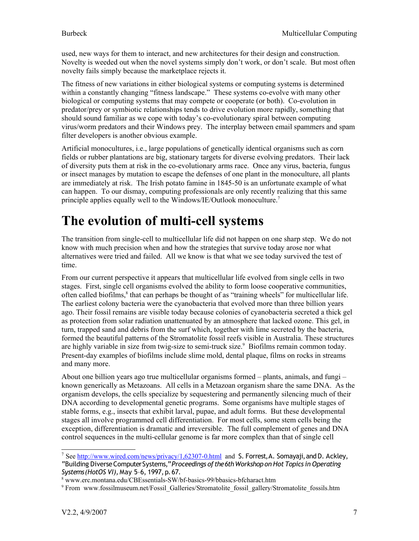used, new ways for them to interact, and new architectures for their design and construction. Novelty is weeded out when the novel systems simply don't work, or don't scale. But most often novelty fails simply because the marketplace rejects it.

The fitness of new variations in either biological systems or computing systems is determined within a constantly changing "fitness landscape." These systems co-evolve with many other biological or computing systems that may compete or cooperate (or both). Co-evolution in predator/prey or symbiotic relationships tends to drive evolution more rapidly, something that should sound familiar as we cope with today's co-evolutionary spiral between computing virus/worm predators and their Windows prey. The interplay between email spammers and spam filter developers is another obvious example.

Artificial monocultures, i.e., large populations of genetically identical organisms such as corn fields or rubber plantations are big, stationary targets for diverse evolving predators. Their lack of diversity puts them at risk in the co-evolutionary arms race. Once any virus, bacteria, fungus or insect manages by mutation to escape the defenses of one plant in the monoculture, all plants are immediately at risk. The Irish potato famine in 1845-50 is an unfortunate example of what can happen. To our dismay, computing professionals are only recently realizing that this same principle applies equally well to the Windows/IE/Outlook monoculture.<sup>[7](#page-6-1)</sup>

# <span id="page-6-0"></span>**The evolution of multi-cell systems**

The transition from single-cell to multicellular life did not happen on one sharp step. We do not know with much precision when and how the strategies that survive today arose nor what alternatives were tried and failed. All we know is that what we see today survived the test of time.

From our current perspective it appears that multicellular life evolved from single cells in two stages. First, single cell organisms evolved the ability to form loose cooperative communities, often called biofilms,<sup>[8](#page-6-2)</sup> that can perhaps be thought of as "training wheels" for multicellular life. The earliest colony bacteria were the cyanobacteria that evolved more than three billion years ago. Their fossil remains are visible today because colonies of cyanobacteria secreted a thick gel as protection from solar radiation unattenuated by an atmosphere that lacked ozone. This gel, in turn, trapped sand and debris from the surf which, together with lime secreted by the bacteria, formed the beautiful patterns of the Stromatolite fossil reefs visible in Australia. These structures are highly variable in size from twig-size to semi-truck size.<sup>[9](#page-6-3)</sup> Biofilms remain common today. Present-day examples of biofilms include slime mold, dental plaque, films on rocks in streams and many more.

About one billion years ago true multicellular organisms formed – plants, animals, and fungi – known generically as Metazoans. All cells in a Metazoan organism share the same DNA. As the organism develops, the cells specialize by sequestering and permanently silencing much of their DNA according to developmental genetic programs. Some organisms have multiple stages of stable forms, e.g., insects that exhibit larval, pupae, and adult forms. But these developmental stages all involve programmed cell differentiation. For most cells, some stem cells being the exception, differentiation is dramatic and irreversible. The full complement of genes and DNA control sequences in the multi-cellular genome is far more complex than that of single cell

<span id="page-6-1"></span><sup>&</sup>lt;sup>7</sup> See <http://www.wired.com/news/privacy/1,62307-0.html> and S. Forrest, A. Somayaji, and D. Ackley, "Building DiverseComputerSystems,"*Proceedings of the6thWorkshopon Hot Topics in Operating Systems(HotOS VI),* May 5–6, 1997,p.67.

<span id="page-6-2"></span><sup>8</sup> www.erc.montana.edu/CBEssentials-SW/bf-basics-99/bbasics-bfcharact.htm

<span id="page-6-3"></span><sup>9</sup> From www.fossilmuseum.net/Fossil\_Galleries/Stromatolite\_fossil\_gallery/Stromatolite\_fossils.htm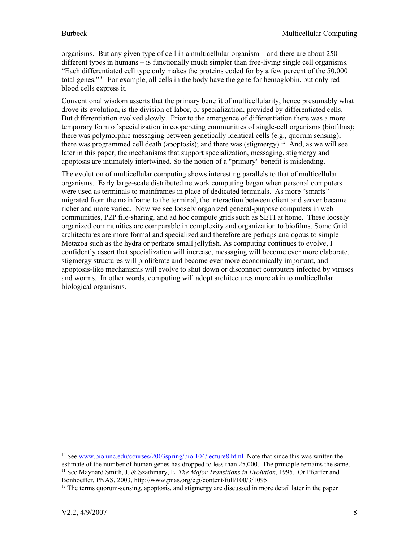organisms. But any given type of cell in a multicellular organism – and there are about 250 different types in humans – is functionally much simpler than free-living single cell organisms. "Each differentiated cell type only makes the proteins coded for by a few percent of the 50,000 total genes."[10](#page-7-0) For example, all cells in the body have the gene for hemoglobin, but only red blood cells express it.

Conventional wisdom asserts that the primary benefit of multicellularity, hence presumably what drove its evolution, is the division of labor, or specialization, provided by differentiated cells.<sup>[11](#page-7-1)</sup> But differentiation evolved slowly. Prior to the emergence of differentiation there was a more temporary form of specialization in cooperating communities of single-cell organisms (biofilms); there was polymorphic messaging between genetically identical cells (e.g., quorum sensing); there was programmed cell death (apoptosis); and there was (stigmergy).<sup>[12](#page-7-2)</sup> And, as we will see later in this paper, the mechanisms that support specialization, messaging, stigmergy and apoptosis are intimately intertwined. So the notion of a "primary" benefit is misleading.

The evolution of multicellular computing shows interesting parallels to that of multicellular organisms. Early large-scale distributed network computing began when personal computers were used as terminals to mainframes in place of dedicated terminals. As more "smarts" migrated from the mainframe to the terminal, the interaction between client and server became richer and more varied. Now we see loosely organized general-purpose computers in web communities, P2P file-sharing, and ad hoc compute grids such as SETI at home. These loosely organized communities are comparable in complexity and organization to biofilms. Some Grid architectures are more formal and specialized and therefore are perhaps analogous to simple Metazoa such as the hydra or perhaps small jellyfish. As computing continues to evolve, I confidently assert that specialization will increase, messaging will become ever more elaborate, stigmergy structures will proliferate and become ever more economically important, and apoptosis-like mechanisms will evolve to shut down or disconnect computers infected by viruses and worms. In other words, computing will adopt architectures more akin to multicellular biological organisms.

<span id="page-7-1"></span><span id="page-7-0"></span><sup>&</sup>lt;sup>10</sup> See [www.bio.unc.edu/courses/2003spring/biol104/lecture8.html](http://www.bio.unc.edu/courses/2003spring/biol104/lecture8.html) Note that since this was written the estimate of the number of human genes has dropped to less than 25,000. The principle remains the same. <sup>11</sup> See Maynard Smith, J. & Szathmáry, E. *The Major Transitions in Evolution,* 1995. Or Pfeiffer and Bonhoeffer, PNAS, 2003, http://www.pnas.org/cgi/content/full/100/3/1095.

<span id="page-7-2"></span> $12$  The terms quorum-sensing, apoptosis, and stigmergy are discussed in more detail later in the paper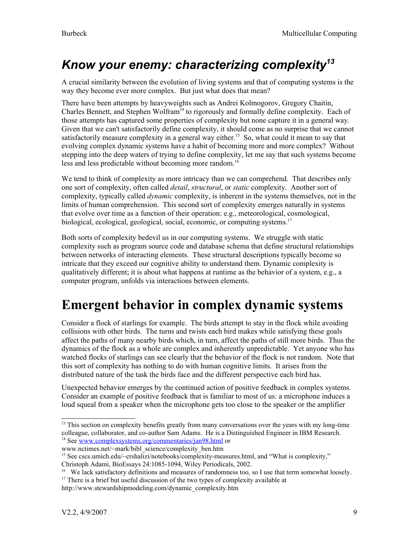# <span id="page-8-1"></span>*Know your enemy: characterizing complexity [13](#page-8-2)*

A crucial similarity between the evolution of living systems and that of computing systems is the way they become ever more complex. But just what does that mean?

There have been attempts by heavyweights such as Andrei Kolmogorov, Gregory Chaitin, Charles Bennett, and Stephen Wolfram<sup>[14](#page-8-3)</sup> to rigorously and formally define complexity. Each of those attempts has captured some properties of complexity but none capture it in a general way. Given that we can't satisfactorily define complexity, it should come as no surprise that we cannot satisfactorily measure complexity in a general way either.<sup>[15](#page-8-4)</sup> So, what could it mean to say that evolving complex dynamic systems have a habit of becoming more and more complex? Without stepping into the deep waters of trying to define complexity, let me say that such systems become less and less predictable without becoming more random. [16](#page-8-5)

We tend to think of complexity as more intricacy than we can comprehend. That describes only one sort of complexity, often called *detail*, *structural*, or *static* complexity. Another sort of complexity, typically called *dynamic* complexity, is inherent in the systems themselves, not in the limits of human comprehension. This second sort of complexity emerges naturally in systems that evolve over time as a function of their operation: e.g., meteorological, cosmological, biological, ecological, geological, social, economic, or computing systems. [17](#page-8-6)

Both sorts of complexity bedevil us in our computing systems. We struggle with static complexity such as program source code and database schema that define structural relationships between networks of interacting elements. These structural descriptions typically become so intricate that they exceed our cognitive ability to understand them. Dynamic complexity is qualitatively different; it is about what happens at runtime as the behavior of a system, e.g., a computer program, unfolds via interactions between elements.

# <span id="page-8-0"></span>**Emergent behavior in complex dynamic systems**

Consider a flock of starlings for example. The birds attempt to stay in the flock while avoiding collisions with other birds. The turns and twists each bird makes while satisfying these goals affect the paths of many nearby birds which, in turn, affect the paths of still more birds. Thus the dynamics of the flock as a whole are complex and inherently unpredictable. Yet anyone who has watched flocks of starlings can see clearly that the behavior of the flock is not random. Note that this sort of complexity has nothing to do with human cognitive limits. It arises from the distributed nature of the task the birds face and the different perspective each bird has.

Unexpected behavior emerges by the continued action of positive feedback in complex systems. Consider an example of positive feedback that is familiar to most of us: a microphone induces a loud squeal from a speaker when the microphone gets too close to the speaker or the amplifier

<span id="page-8-2"></span><sup>&</sup>lt;sup>13</sup> This section on complexity benefits greatly from many conversations over the years with my long-time colleague, collaborator, and co-author Sam Adams. He is a Distinguished Engineer in IBM Research. <sup>14</sup> See [www.complexsystems.org/commentaries/jan98.html](http://www.complexsystems.org/commentaries/jan98.html) or

<span id="page-8-3"></span>www.nctimes.net/~mark/bibl\_science/complexity\_ben.htm

<span id="page-8-4"></span><sup>&</sup>lt;sup>15</sup> See cscs.umich.edu/~crshalizi/notebooks/complexity-measures.html, and "What is complexity,"

Christoph Adami, BioEssays 24:1085-1094, Wiley Periodicals, 2002.

<span id="page-8-5"></span><sup>&</sup>lt;sup>16</sup> We lack satisfactory definitions and measures of randomness too, so I use that term somewhat loosely. <sup>17</sup> There is a brief but useful discussion of the two types of complexity available at

<span id="page-8-6"></span>http://www.stewardshipmodeling.com/dynamic\_complexity.htm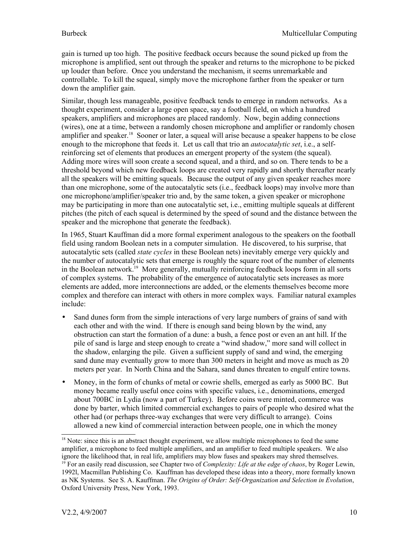gain is turned up too high. The positive feedback occurs because the sound picked up from the microphone is amplified, sent out through the speaker and returns to the microphone to be picked up louder than before. Once you understand the mechanism, it seems unremarkable and controllable. To kill the squeal, simply move the microphone farther from the speaker or turn down the amplifier gain.

Similar, though less manageable, positive feedback tends to emerge in random networks. As a thought experiment, consider a large open space, say a football field, on which a hundred speakers, amplifiers and microphones are placed randomly. Now, begin adding connections (wires), one at a time, between a randomly chosen microphone and amplifier or randomly chosen amplifier and speaker.<sup>[18](#page-9-0)</sup> Sooner or later, a squeal will arise because a speaker happens to be close enough to the microphone that feeds it. Let us call that trio an *autocatalytic set*, i.e., a selfreinforcing set of elements that produces an emergent property of the system (the squeal). Adding more wires will soon create a second squeal, and a third, and so on. There tends to be a threshold beyond which new feedback loops are created very rapidly and shortly thereafter nearly all the speakers will be emitting squeals. Because the output of any given speaker reaches more than one microphone, some of the autocatalytic sets (i.e., feedback loops) may involve more than one microphone/amplifier/speaker trio and, by the same token, a given speaker or microphone may be participating in more than one autocatalytic set, i.e., emitting multiple squeals at different pitches (the pitch of each squeal is determined by the speed of sound and the distance between the speaker and the microphone that generate the feedback).

In 1965, Stuart Kauffman did a more formal experiment analogous to the speakers on the football field using random Boolean nets in a computer simulation. He discovered, to his surprise, that autocatalytic sets (called *state cycles* in these Boolean nets) inevitably emerge very quickly and the number of autocatalytic sets that emerge is roughly the square root of the number of elements in the Boolean network.<sup>[19](#page-9-1)</sup> More generally, mutually reinforcing feedback loops form in all sorts of complex systems. The probability of the emergence of autocatalytic sets increases as more elements are added, more interconnections are added, or the elements themselves become more complex and therefore can interact with others in more complex ways. Familiar natural examples include:

- Sand dunes form from the simple interactions of very large numbers of grains of sand with each other and with the wind. If there is enough sand being blown by the wind, any obstruction can start the formation of a dune: a bush, a fence post or even an ant hill. If the pile of sand is large and steep enough to create a "wind shadow," more sand will collect in the shadow, enlarging the pile. Given a sufficient supply of sand and wind, the emerging sand dune may eventually grow to more than 300 meters in height and move as much as 20 meters per year. In North China and the Sahara, sand dunes threaten to engulf entire towns.
- Money, in the form of chunks of metal or cowrie shells, emerged as early as 5000 BC. But money became really useful once coins with specific values, i.e., denominations, emerged about 700BC in Lydia (now a part of Turkey). Before coins were minted, commerce was done by barter, which limited commercial exchanges to pairs of people who desired what the other had (or perhaps three-way exchanges that were very difficult to arrange). Coins allowed a new kind of commercial interaction between people, one in which the money

<span id="page-9-1"></span><span id="page-9-0"></span><sup>&</sup>lt;sup>18</sup> Note: since this is an abstract thought experiment, we allow multiple microphones to feed the same amplifier, a microphone to feed multiple amplifiers, and an amplifier to feed multiple speakers. We also ignore the likelihood that, in real life, amplifiers may blow fuses and speakers may shred themselves. <sup>19</sup> For an easily read discussion, see Chapter two of *Complexity: Life at the edge of chaos*, by Roger Lewin, 1992l, Macmillan Publishing Co. Kauffman has developed these ideas into a theory, more formally known as NK Systems. See S. A. Kauffman. *The Origins of Order: Self-Organization and Selection in Evolution*, Oxford University Press, New York, 1993.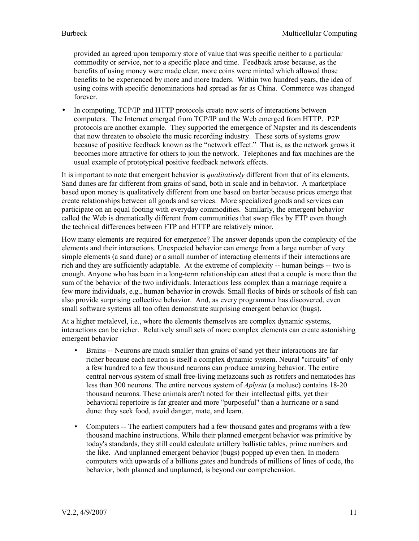provided an agreed upon temporary store of value that was specific neither to a particular commodity or service, nor to a specific place and time. Feedback arose because, as the benefits of using money were made clear, more coins were minted which allowed those benefits to be experienced by more and more traders. Within two hundred years, the idea of using coins with specific denominations had spread as far as China. Commerce was changed forever.

• In computing, TCP/IP and HTTP protocols create new sorts of interactions between computers. The Internet emerged from TCP/IP and the Web emerged from HTTP. P2P protocols are another example. They supported the emergence of Napster and its descendents that now threaten to obsolete the music recording industry. These sorts of systems grow because of positive feedback known as the "network effect." That is, as the network grows it becomes more attractive for others to join the network. Telephones and fax machines are the usual example of prototypical positive feedback network effects.

It is important to note that emergent behavior is *qualitatively* different from that of its elements. Sand dunes are far different from grains of sand, both in scale and in behavior. A marketplace based upon money is qualitatively different from one based on barter because prices emerge that create relationships between all goods and services. More specialized goods and services can participate on an equal footing with everyday commodities. Similarly, the emergent behavior called the Web is dramatically different from communities that swap files by FTP even though the technical differences between FTP and HTTP are relatively minor.

How many elements are required for emergence? The answer depends upon the complexity of the elements and their interactions. Unexpected behavior can emerge from a large number of very simple elements (a sand dune) or a small number of interacting elements if their interactions are rich and they are sufficiently adaptable. At the extreme of complexity -- human beings -- two is enough. Anyone who has been in a long-term relationship can attest that a couple is more than the sum of the behavior of the two individuals. Interactions less complex than a marriage require a few more individuals, e.g., human behavior in crowds. Small flocks of birds or schools of fish can also provide surprising collective behavior. And, as every programmer has discovered, even small software systems all too often demonstrate surprising emergent behavior (bugs).

At a higher metalevel, i.e., where the elements themselves are complex dynamic systems, interactions can be richer. Relatively small sets of more complex elements can create astonishing emergent behavior

- Brains -- Neurons are much smaller than grains of sand yet their interactions are far richer because each neuron is itself a complex dynamic system. Neural "circuits" of only a few hundred to a few thousand neurons can produce amazing behavior. The entire central nervous system of small free-living metazoans such as rotifers and nematodes has less than 300 neurons. The entire nervous system of *Aplysia* (a molusc) contains 18-20 thousand neurons. These animals aren't noted for their intellectual gifts, yet their behavioral repertoire is far greater and more "purposeful" than a hurricane or a sand dune: they seek food, avoid danger, mate, and learn.
- Computers -- The earliest computers had a few thousand gates and programs with a few thousand machine instructions. While their planned emergent behavior was primitive by today's standards, they still could calculate artillery ballistic tables, prime numbers and the like. And unplanned emergent behavior (bugs) popped up even then. In modern computers with upwards of a billions gates and hundreds of millions of lines of code, the behavior, both planned and unplanned, is beyond our comprehension.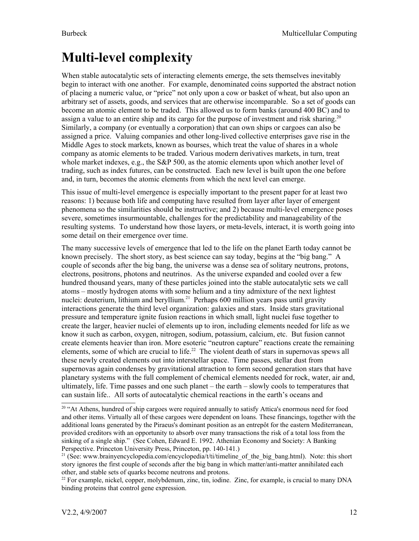# <span id="page-11-0"></span>**Multi-level complexity**

When stable autocatalytic sets of interacting elements emerge, the sets themselves inevitably begin to interact with one another. For example, denominated coins supported the abstract notion of placing a numeric value, or "price" not only upon a cow or basket of wheat, but also upon an arbitrary set of assets, goods, and services that are otherwise incomparable. So a set of goods can become an atomic element to be traded. This allowed us to form banks (around 400 BC) and to assign a value to an entire ship and its cargo for the purpose of investment and risk sharing.<sup>[20](#page-11-1)</sup> Similarly, a company (or eventually a corporation) that can own ships or cargoes can also be assigned a price. Valuing companies and other long-lived collective enterprises gave rise in the Middle Ages to stock markets, known as bourses, which treat the value of shares in a whole company as atomic elements to be traded. Various modern derivatives markets, in turn, treat whole market indexes, e.g., the S&P 500, as the atomic elements upon which another level of trading, such as index futures, can be constructed. Each new level is built upon the one before and, in turn, becomes the atomic elements from which the next level can emerge.

This issue of multi-level emergence is especially important to the present paper for at least two reasons: 1) because both life and computing have resulted from layer after layer of emergent phenomena so the similarities should be instructive; and 2) because multi-level emergence poses severe, sometimes insurmountable, challenges for the predictability and manageability of the resulting systems. To understand how those layers, or meta-levels, interact, it is worth going into some detail on their emergence over time.

The many successive levels of emergence that led to the life on the planet Earth today cannot be known precisely. The short story, as best science can say today, begins at the "big bang." A couple of seconds after the big bang, the universe was a dense sea of solitary neutrons, protons, electrons, positrons, photons and neutrinos. As the universe expanded and cooled over a few hundred thousand years, many of these particles joined into the stable autocatalytic sets we call atoms – mostly hydrogen atoms with some helium and a tiny admixture of the next lightest nuclei: deuterium, lithium and beryllium.<sup>[21](#page-11-2)</sup> Perhaps 600 million years pass until gravity interactions generate the third level organization: galaxies and stars. Inside stars gravitational pressure and temperature ignite fusion reactions in which small, light nuclei fuse together to create the larger, heavier nuclei of elements up to iron, including elements needed for life as we know it such as carbon, oxygen, nitrogen, sodium, potassium, calcium, etc. But fusion cannot create elements heavier than iron. More esoteric "neutron capture" reactions create the remaining elements, some of which are crucial to life.<sup>[22](#page-11-3)</sup> The violent death of stars in supernovas spews all these newly created elements out into interstellar space. Time passes, stellar dust from supernovas again condenses by gravitational attraction to form second generation stars that have planetary systems with the full complement of chemical elements needed for rock, water, air and, ultimately, life. Time passes and one such planet – the earth – slowly cools to temperatures that can sustain life.. All sorts of autocatalytic chemical reactions in the earth's oceans and

<span id="page-11-1"></span><sup>&</sup>lt;sup>20</sup> "At Athens, hundred of ship cargoes were required annually to satisfy Attica's enormous need for food and other items. Virtually all of these cargoes were dependent on loans. These financings, together with the additional loans generated by the Piraeus's dominant position as an entrepôt for the eastern Mediterranean, provided creditors with an opportunity to absorb over many transactions the risk of a total loss from the sinking of a single ship." (See Cohen, Edward E. 1992. Athenian Economy and Society: A Banking Perspective. Princeton University Press, Princeton, pp. 140-141.)

<span id="page-11-2"></span><sup>&</sup>lt;sup>21</sup> (See: www.brainyencyclopedia.com/encyclopedia/t/ti/timeline\_of\_the\_big\_bang.html). Note: this short story ignores the first couple of seconds after the big bang in which matter/anti-matter annihilated each other, and stable sets of quarks become neutrons and protons.

<span id="page-11-3"></span><sup>&</sup>lt;sup>22</sup> For example, nickel, copper, molybdenum, zinc, tin, iodine. Zinc, for example, is crucial to many DNA binding proteins that control gene expression.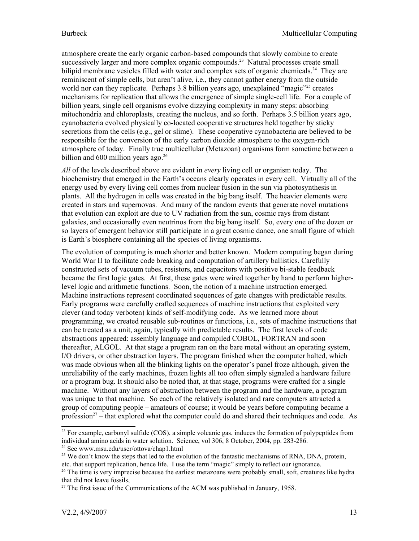atmosphere create the early organic carbon-based compounds that slowly combine to create successively larger and more complex organic compounds.<sup>[23](#page-12-0)</sup> Natural processes create small bilipid membrane vesicles filled with water and complex sets of organic chemicals.<sup>[24](#page-12-1)</sup> They are reminiscent of simple cells, but aren't alive, i.e., they cannot gather energy from the outside world nor can they replicate. Perhaps 3.8 billion years ago, unexplained "magic"<sup>[25](#page-12-2)</sup> creates mechanisms for replication that allows the emergence of simple single-cell life. For a couple of billion years, single cell organisms evolve dizzying complexity in many steps: absorbing mitochondria and chloroplasts, creating the nucleus, and so forth. Perhaps 3.5 billion years ago, cyanobacteria evolved physically co-located cooperative structures held together by sticky secretions from the cells (e.g., gel or slime). These cooperative cyanobacteria are believed to be responsible for the conversion of the early carbon dioxide atmosphere to the oxygen-rich atmosphere of today. Finally true multicellular (Metazoan) organisms form sometime between a billion and  $600$  million years ago.<sup>[26](#page-12-3)</sup>

*All* of the levels described above are evident in *every* living cell or organism today. The biochemistry that emerged in the Earth's oceans clearly operates in every cell. Virtually all of the energy used by every living cell comes from nuclear fusion in the sun via photosynthesis in plants. All the hydrogen in cells was created in the big bang itself. The heavier elements were created in stars and supernovas. And many of the random events that generate novel mutations that evolution can exploit are due to UV radiation from the sun, cosmic rays from distant galaxies, and occasionally even neutrinos from the big bang itself. So, every one of the dozen or so layers of emergent behavior still participate in a great cosmic dance, one small figure of which is Earth's biosphere containing all the species of living organisms.

The evolution of computing is much shorter and better known. Modern computing began during World War II to facilitate code breaking and computation of artillery ballistics. Carefully constructed sets of vacuum tubes, resistors, and capacitors with positive bi-stable feedback became the first logic gates. At first, these gates were wired together by hand to perform higherlevel logic and arithmetic functions. Soon, the notion of a machine instruction emerged. Machine instructions represent coordinated sequences of gate changes with predictable results. Early programs were carefully crafted sequences of machine instructions that exploited very clever (and today verboten) kinds of self-modifying code. As we learned more about programming, we created reusable sub-routines or functions, i.e., sets of machine instructions that can be treated as a unit, again, typically with predictable results. The first levels of code abstractions appeared: assembly language and compiled COBOL, FORTRAN and soon thereafter, ALGOL. At that stage a program ran on the bare metal without an operating system, I/O drivers, or other abstraction layers. The program finished when the computer halted, which was made obvious when all the blinking lights on the operator's panel froze although, given the unreliability of the early machines, frozen lights all too often simply signaled a hardware failure or a program bug. It should also be noted that, at that stage, programs were crafted for a single machine. Without any layers of abstraction between the program and the hardware, a program was unique to that machine. So each of the relatively isolated and rare computers attracted a group of computing people – amateurs of course; it would be years before computing became a profession<sup>[27](#page-12-4)</sup> – that explored what the computer could do and shared their techniques and code. As

<span id="page-12-0"></span> $^{23}$  For example, carbonyl sulfide (COS), a simple volcanic gas, induces the formation of polypeptides from individual amino acids in water solution. Science, vol 306, 8 October, 2004, pp. 283-286. <sup>24</sup> See www.msu.edu/user/ottova/chap1.html

<span id="page-12-2"></span><span id="page-12-1"></span><sup>&</sup>lt;sup>25</sup> We don't know the steps that led to the evolution of the fantastic mechanisms of RNA, DNA, protein, etc. that support replication, hence life. I use the term "magic" simply to reflect our ignorance.

<span id="page-12-3"></span><sup>&</sup>lt;sup>26</sup> The time is very imprecise because the earliest metazoans were probably small, soft, creatures like hydra that did not leave fossils,

<span id="page-12-4"></span> $27$  The first issue of the Communications of the ACM was published in January, 1958.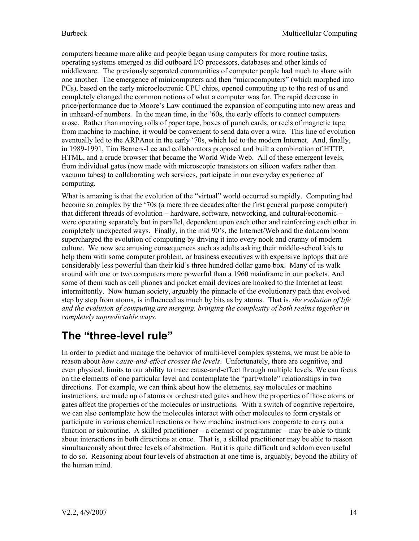computers became more alike and people began using computers for more routine tasks, operating systems emerged as did outboard I/O processors, databases and other kinds of middleware. The previously separated communities of computer people had much to share with one another. The emergence of minicomputers and then "microcomputers" (which morphed into PCs), based on the early microelectronic CPU chips, opened computing up to the rest of us and completely changed the common notions of what a computer was for. The rapid decrease in price/performance due to Moore's Law continued the expansion of computing into new areas and in unheard-of numbers. In the mean time, in the '60s, the early efforts to connect computers arose. Rather than moving rolls of paper tape, boxes of punch cards, or reels of magnetic tape from machine to machine, it would be convenient to send data over a wire. This line of evolution eventually led to the ARPAnet in the early '70s, which led to the modern Internet. And, finally, in 1989-1991, Tim Berners-Lee and collaborators proposed and built a combination of HTTP, HTML, and a crude browser that became the World Wide Web. All of these emergent levels, from individual gates (now made with microscopic transistors on silicon wafers rather than vacuum tubes) to collaborating web services, participate in our everyday experience of computing.

What is amazing is that the evolution of the "virtual" world occurred so rapidly. Computing had become so complex by the '70s (a mere three decades after the first general purpose computer) that different threads of evolution – hardware, software, networking, and cultural/economic – were operating separately but in parallel, dependent upon each other and reinforcing each other in completely unexpected ways. Finally, in the mid 90's, the Internet/Web and the dot.com boom supercharged the evolution of computing by driving it into every nook and cranny of modern culture. We now see amusing consequences such as adults asking their middle-school kids to help them with some computer problem, or business executives with expensive laptops that are considerably less powerful than their kid's three hundred dollar game box. Many of us walk around with one or two computers more powerful than a 1960 mainframe in our pockets. And some of them such as cell phones and pocket email devices are hooked to the Internet at least intermittently. Now human society, arguably the pinnacle of the evolutionary path that evolved step by step from atoms, is influenced as much by bits as by atoms. That is, *the evolution of life and the evolution of computing are merging, bringing the complexity of both realms together in completely unpredictable ways.*

## **The "three-level rule"**

In order to predict and manage the behavior of multi-level complex systems, we must be able to reason about *how cause-and-effect crosses the levels*. Unfortunately, there are cognitive, and even physical, limits to our ability to trace cause-and-effect through multiple levels. We can focus on the elements of one particular level and contemplate the "part/whole" relationships in two directions. For example, we can think about how the elements, say molecules or machine instructions, are made up of atoms or orchestrated gates and how the properties of those atoms or gates affect the properties of the molecules or instructions. With a switch of cognitive repertoire, we can also contemplate how the molecules interact with other molecules to form crystals or participate in various chemical reactions or how machine instructions cooperate to carry out a function or subroutine. A skilled practitioner – a chemist or programmer – may be able to think about interactions in both directions at once. That is, a skilled practitioner may be able to reason simultaneously about three levels of abstraction. But it is quite difficult and seldom even useful to do so. Reasoning about four levels of abstraction at one time is, arguably, beyond the ability of the human mind.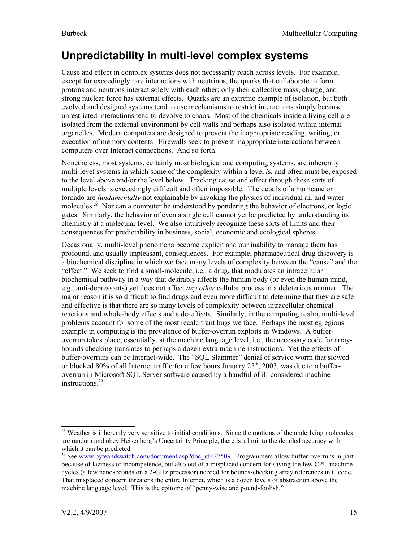### **Unpredictability in multi-level complex systems**

Cause and effect in complex systems does not necessarily reach across levels. For example, except for exceedingly rare interactions with neutrinos, the quarks that collaborate to form protons and neutrons interact solely with each other; only their collective mass, charge, and strong nuclear force has external effects. Quarks are an extreme example of isolation, but both evolved and designed systems tend to use mechanisms to restrict interactions simply because unrestricted interactions tend to devolve to chaos. Most of the chemicals inside a living cell are isolated from the external environment by cell walls and perhaps also isolated within internal organelles. Modern computers are designed to prevent the inappropriate reading, writing, or execution of memory contents. Firewalls seek to prevent inappropriate interactions between computers over Internet connections. And so forth.

Nonetheless, most systems, certainly most biological and computing systems, are inherently multi-level systems in which some of the complexity within a level *i*s, and often must be, exposed to the level above and/or the level below. Tracking cause and effect through these sorts of multiple levels is exceedingly difficult and often impossible. The details of a hurricane or tornado are *fundamentally* not explainable by invoking the physics of individual air and water molecules.<sup>[28](#page-14-0)</sup> Nor can a computer be understood by pondering the behavior of electrons, or logic gates. Similarly, the behavior of even a single cell cannot yet be predicted by understanding its chemistry at a molecular level. We also intuitively recognize these sorts of limits and their consequences for predictability in business, social, economic and ecological spheres.

Occasionally, multi-level phenomena become explicit and our inability to manage them has profound, and usually unpleasant, consequences. For example, pharmaceutical drug discovery is a biochemical discipline in which we face many levels of complexity between the "cause" and the "effect." We seek to find a small-molecule, i.e., a drug, that modulates an intracellular biochemical pathway in a way that desirably affects the human body (or even the human mind, e.g., anti-depressants) yet does not affect *any other* cellular process in a deleterious manner. The major reason it is so difficult to find drugs and even more difficult to determine that they are safe and effective is that there are so many levels of complexity between intracellular chemical reactions and whole-body effects and side-effects. Similarly, in the computing realm, multi-level problems account for some of the most recalcitrant bugs we face. Perhaps the most egregious example in computing is the prevalence of buffer-overrun exploits in Windows. A bufferoverrun takes place, essentially, at the machine language level, i.e., the necessary code for arraybounds checking translates to perhaps a dozen extra machine instructions. Yet the effects of buffer-overruns can be Internet-wide. The "SQL Slammer" denial of service worm that slowed or blocked 80% of all Internet traffic for a few hours January  $25<sup>th</sup>$ , 2003, was due to a bufferoverrun in Microsoft SQL Server software caused by a handful of ill-considered machine instructions. [29](#page-14-1)

<span id="page-14-0"></span><sup>&</sup>lt;sup>28</sup> Weather is inherently very sensitive to initial conditions. Since the motions of the underlying molecules are random and obey Heisenberg's Uncertainty Principle, there is a limit to the detailed accuracy with which it can be predicted.

<span id="page-14-1"></span><sup>&</sup>lt;sup>29</sup> See [www.byteandswitch.com/document.asp?doc\\_id=27509](http://www.byteandswitch.com/document.asp?doc_id=27509). Programmers allow buffer-overruns in part because of laziness or incompetence, but also out of a misplaced concern for saving the few CPU machine cycles (a few nanoseconds on a 2-GHz processor) needed for bounds-checking array references in C code. That misplaced concern threatens the entire Internet, which is a dozen levels of abstraction above the machine language level. This is the epitome of "penny-wise and pound-foolish."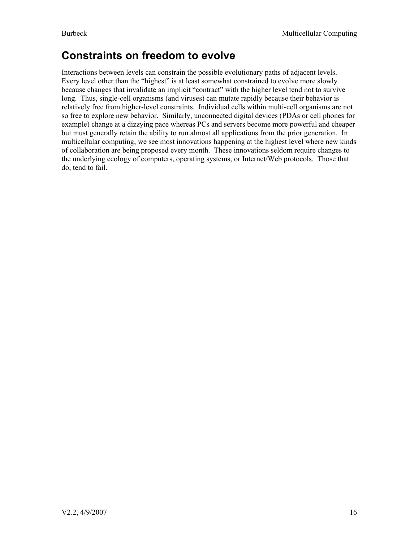### **Constraints on freedom to evolve**

Interactions between levels can constrain the possible evolutionary paths of adjacent levels. Every level other than the "highest" is at least somewhat constrained to evolve more slowly because changes that invalidate an implicit "contract" with the higher level tend not to survive long. Thus, single-cell organisms (and viruses) can mutate rapidly because their behavior is relatively free from higher-level constraints. Individual cells within multi-cell organisms are not so free to explore new behavior. Similarly, unconnected digital devices (PDAs or cell phones for example) change at a dizzying pace whereas PCs and servers become more powerful and cheaper but must generally retain the ability to run almost all applications from the prior generation. In multicellular computing, we see most innovations happening at the highest level where new kinds of collaboration are being proposed every month. These innovations seldom require changes to the underlying ecology of computers, operating systems, or Internet/Web protocols. Those that do, tend to fail.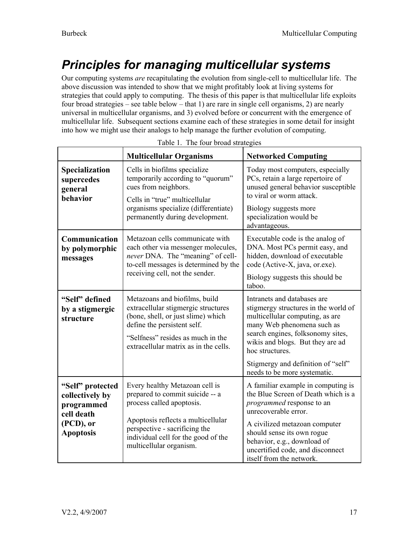# <span id="page-16-0"></span>*Principles for managing multicellular systems*

Our computing systems *are* recapitulating the evolution from single-cell to multicellular life. The above discussion was intended to show that we might profitably look at living systems for strategies that could apply to computing. The thesis of this paper is that multicellular life exploits four broad strategies – see table below – that 1) are rare in single cell organisms, 2) are nearly universal in multicellular organisms, and 3) evolved before or concurrent with the emergence of multicellular life. Subsequent sections examine each of these strategies in some detail for insight into how we might use their analogs to help manage the further evolution of computing.

|                                                                                                  | <b>Multicellular Organisms</b>                                                                                                                                                                                                          | <b>Networked Computing</b>                                                                                                                                                                                                                                                                             |
|--------------------------------------------------------------------------------------------------|-----------------------------------------------------------------------------------------------------------------------------------------------------------------------------------------------------------------------------------------|--------------------------------------------------------------------------------------------------------------------------------------------------------------------------------------------------------------------------------------------------------------------------------------------------------|
| <b>Specialization</b><br>supercedes<br>general<br>behavior                                       | Cells in biofilms specialize<br>temporarily according to "quorum"<br>cues from neighbors.<br>Cells in "true" multicellular<br>organisms specialize (differentiate)<br>permanently during development.                                   | Today most computers, especially<br>PCs, retain a large repertoire of<br>unused general behavior susceptible<br>to viral or worm attack.<br>Biology suggests more<br>specialization would be<br>advantageous.                                                                                          |
| Communication<br>by polymorphic<br>messages                                                      | Metazoan cells communicate with<br>each other via messenger molecules,<br>never DNA. The "meaning" of cell-<br>to-cell messages is determined by the<br>receiving cell, not the sender.                                                 | Executable code is the analog of<br>DNA. Most PCs permit easy, and<br>hidden, download of executable<br>code (Active-X, java, or.exe).<br>Biology suggests this should be<br>taboo.                                                                                                                    |
| "Self" defined<br>by a stigmergic<br>structure                                                   | Metazoans and biofilms, build<br>extracellular stigmergic structures<br>(bone, shell, or just slime) which<br>define the persistent self.<br>"Selfness" resides as much in the<br>extracellular matrix as in the cells.                 | Intranets and databases are<br>stigmergy structures in the world of<br>multicellular computing, as are<br>many Web phenomena such as<br>search engines, folksonomy sites,<br>wikis and blogs. But they are ad<br>hoc structures.<br>Stigmergy and definition of "self"<br>needs to be more systematic. |
| "Self" protected<br>collectively by<br>programmed<br>cell death<br>(PCD), or<br><b>Apoptosis</b> | Every healthy Metazoan cell is<br>prepared to commit suicide -- a<br>process called apoptosis.<br>Apoptosis reflects a multicellular<br>perspective - sacrificing the<br>individual cell for the good of the<br>multicellular organism. | A familiar example in computing is<br>the Blue Screen of Death which is a<br><i>programmed</i> response to an<br>unrecoverable error.<br>A civilized metazoan computer<br>should sense its own rogue<br>behavior, e.g., download of<br>uncertified code, and disconnect<br>itself from the network.    |

|  | Table 1. The four broad strategies |
|--|------------------------------------|
|  |                                    |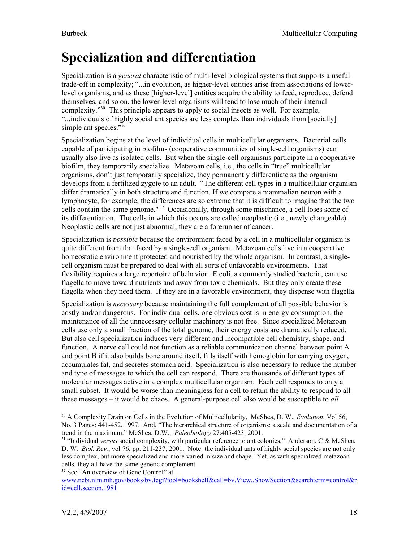# <span id="page-17-0"></span>**Specialization and differentiation**

Specialization is a *general* characteristic of multi-level biological systems that supports a useful trade-off in complexity; "...in evolution, as higher-level entities arise from associations of lowerlevel organisms, and as these [higher-level] entities acquire the ability to feed, reproduce, defend themselves, and so on, the lower-level organisms will tend to lose much of their internal complexity."[30](#page-17-1) This principle appears to apply to social insects as well. For example, "...individuals of highly social ant species are less complex than individuals from [socially] simple ant species."<sup>[31](#page-17-2)</sup>

Specialization begins at the level of individual cells in multicellular organisms. Bacterial cells capable of participating in biofilms (cooperative communities of single-cell organisms) can usually also live as isolated cells. But when the single-cell organisms participate in a cooperative biofilm, they temporarily specialize. Metazoan cells, i.e., the cells in "true" multicellular organisms, don't just temporarily specialize, they permanently differentiate as the organism develops from a fertilized zygote to an adult. "The different cell types in a multicellular organism differ dramatically in both structure and function. If we compare a mammalian neuron with a lymphocyte, for example, the differences are so extreme that it is difficult to imagine that the two cells contain the same genome."<sup>[32](#page-17-3)</sup> Occasionally, through some mischance, a cell loses some of its differentiation. The cells in which this occurs are called neoplastic (i.e., newly changeable). Neoplastic cells are not just abnormal, they are a forerunner of cancer.

Specialization is *possible* because the environment faced by a cell in a multicellular organism is quite different from that faced by a single-cell organism. Metazoan cells live in a cooperative homeostatic environment protected and nourished by the whole organism. In contrast, a singlecell organism must be prepared to deal with all sorts of unfavorable environments. That flexibility requires a large repertoire of behavior. E coli, a commonly studied bacteria, can use flagella to move toward nutrients and away from toxic chemicals. But they only create these flagella when they need them. If they are in a favorable environment, they dispense with flagella.

Specialization is *necessary* because maintaining the full complement of all possible behavior is costly and/or dangerous. For individual cells, one obvious cost is in energy consumption; the maintenance of all the unnecessary cellular machinery is not free. Since specialized Metazoan cells use only a small fraction of the total genome, their energy costs are dramatically reduced. But also cell specialization induces very different and incompatible cell chemistry, shape, and function. A nerve cell could not function as a reliable communication channel between point A and point B if it also builds bone around itself, fills itself with hemoglobin for carrying oxygen, accumulates fat, and secretes stomach acid. Specialization is also necessary to reduce the number and type of messages to which the cell can respond. There are thousands of different types of molecular messages active in a complex multicellular organism. Each cell responds to only a small subset. It would be worse than meaningless for a cell to retain the ability to respond to all these messages – it would be chaos. A general-purpose cell also would be susceptible to *all*

<span id="page-17-1"></span><sup>30</sup> A Complexity Drain on Cells in the Evolution of Multicellularity, McShea, D. W., *Evolution*, Vol 56, No. 3 Pages: 441-452, 1997. And, "The hierarchical structure of organisms: a scale and documentation of a trend in the maximum." McShea, D.W., *Paleobiology* 27:405-423, 2001.

<span id="page-17-2"></span><sup>&</sup>lt;sup>31</sup> "Individual *versus* social complexity, with particular reference to ant colonies," Anderson, C & McShea, D. W. *Biol. Rev.*, vol 76, pp. 211-237, 2001. Note: the individual ants of highly social species are not only less complex, but more specialized and more varied in size and shape. Yet, as with specialized metazoan cells, they all have the same genetic complement.

<span id="page-17-3"></span><sup>&</sup>lt;sup>32</sup> See "An overview of Gene Control" at

[www.ncbi.nlm.nih.gov/books/bv.fcgi?tool=bookshelf&call=bv.View..ShowSection&searchterm=control&r](http://www.ncbi.nlm.nih.gov/books/bv.fcgi?tool=bookshelf&call=bv.View..ShowSection&searchterm=control&rid=cell.section.1981) [id=cell.section.1981](http://www.ncbi.nlm.nih.gov/books/bv.fcgi?tool=bookshelf&call=bv.View..ShowSection&searchterm=control&rid=cell.section.1981)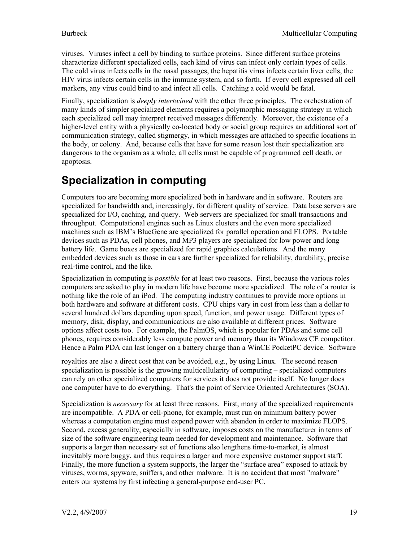viruses. Viruses infect a cell by binding to surface proteins. Since different surface proteins characterize different specialized cells, each kind of virus can infect only certain types of cells. The cold virus infects cells in the nasal passages, the hepatitis virus infects certain liver cells, the HIV virus infects certain cells in the immune system, and so forth. If every cell expressed all cell markers, any virus could bind to and infect all cells. Catching a cold would be fatal.

Finally, specialization is *deeply intertwined* with the other three principles. The orchestration of many kinds of simpler specialized elements requires a polymorphic messaging strategy in which each specialized cell may interpret received messages differently. Moreover, the existence of a higher-level entity with a physically co-located body or social group requires an additional sort of communication strategy, called stigmergy, in which messages are attached to specific locations in the body, or colony. And, because cells that have for some reason lost their specialization are dangerous to the organism as a whole, all cells must be capable of programmed cell death, or apoptosis.

### **Specialization in computing**

Computers too are becoming more specialized both in hardware and in software. Routers are specialized for bandwidth and, increasingly, for different quality of service. Data base servers are specialized for I/O, caching, and query. Web servers are specialized for small transactions and throughput. Computational engines such as Linux clusters and the even more specialized machines such as IBM's BlueGene are specialized for parallel operation and FLOPS. Portable devices such as PDAs, cell phones, and MP3 players are specialized for low power and long battery life. Game boxes are specialized for rapid graphics calculations. And the many embedded devices such as those in cars are further specialized for reliability, durability, precise real-time control, and the like.

Specialization in computing is *possible* for at least two reasons. First, because the various roles computers are asked to play in modern life have become more specialized. The role of a router is nothing like the role of an iPod. The computing industry continues to provide more options in both hardware and software at different costs. CPU chips vary in cost from less than a dollar to several hundred dollars depending upon speed, function, and power usage. Different types of memory, disk, display, and communications are also available at different prices. Software options affect costs too. For example, the PalmOS, which is popular for PDAs and some cell phones, requires considerably less compute power and memory than its Windows CE competitor. Hence a Palm PDA can last longer on a battery charge than a WinCE PocketPC device. Software

royalties are also a direct cost that can be avoided, e.g., by using Linux. The second reason specialization is possible is the growing multicellularity of computing – specialized computers can rely on other specialized computers for services it does not provide itself. No longer does one computer have to do everything. That's the point of Service Oriented Architectures (SOA).

Specialization is *necessary* for at least three reasons. First, many of the specialized requirements are incompatible. A PDA or cell-phone, for example, must run on minimum battery power whereas a computation engine must expend power with abandon in order to maximize FLOPS. Second, excess generality, especially in software, imposes costs on the manufacturer in terms of size of the software engineering team needed for development and maintenance. Software that supports a larger than necessary set of functions also lengthens time-to-market, is almost inevitably more buggy, and thus requires a larger and more expensive customer support staff. Finally, the more function a system supports, the larger the "surface area" exposed to attack by viruses, worms, spyware, sniffers, and other malware. It is no accident that most "malware" enters our systems by first infecting a general-purpose end-user PC.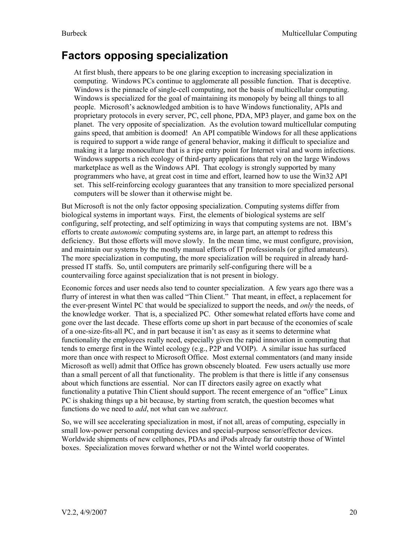### **Factors opposing specialization**

At first blush, there appears to be one glaring exception to increasing specialization in computing. Windows PCs continue to agglomerate all possible function. That is deceptive. Windows is the pinnacle of single-cell computing, not the basis of multicellular computing. Windows is specialized for the goal of maintaining its monopoly by being all things to all people. Microsoft's acknowledged ambition is to have Windows functionality, APIs and proprietary protocols in every server, PC, cell phone, PDA, MP3 player, and game box on the planet. The very opposite of specialization. As the evolution toward multicellular computing gains speed, that ambition is doomed! An API compatible Windows for all these applications is required to support a wide range of general behavior, making it difficult to specialize and making it a large monoculture that is a ripe entry point for Internet viral and worm infections. Windows supports a rich ecology of third-party applications that rely on the large Windows marketplace as well as the Windows API. That ecology is strongly supported by many programmers who have, at great cost in time and effort, learned how to use the Win32 API set. This self-reinforcing ecology guarantees that any transition to more specialized personal computers will be slower than it otherwise might be.

But Microsoft is not the only factor opposing specialization. Computing systems differ from biological systems in important ways. First, the elements of biological systems are self configuring, self protecting, and self optimizing in ways that computing systems are not. IBM's efforts to create *autonomic* computing systems are, in large part, an attempt to redress this deficiency. But those efforts will move slowly. In the mean time, we must configure, provision, and maintain our systems by the mostly manual efforts of IT professionals (or gifted amateurs). The more specialization in computing, the more specialization will be required in already hardpressed IT staffs. So, until computers are primarily self-configuring there will be a countervailing force against specialization that is not present in biology.

Economic forces and user needs also tend to counter specialization. A few years ago there was a flurry of interest in what then was called "Thin Client." That meant, in effect, a replacement for the ever-present Wintel PC that would be specialized to support the needs, and *only* the needs, of the knowledge worker. That is, a specialized PC. Other somewhat related efforts have come and gone over the last decade. These efforts come up short in part because of the economies of scale of a one-size-fits-all PC, and in part because it isn't as easy as it seems to determine what functionality the employees really need, especially given the rapid innovation in computing that tends to emerge first in the Wintel ecology (e.g., P2P and VOIP). A similar issue has surfaced more than once with respect to Microsoft Office. Most external commentators (and many inside Microsoft as well) admit that Office has grown obscenely bloated. Few users actually use more than a small percent of all that functionality. The problem is that there is little if any consensus about which functions are essential. Nor can IT directors easily agree on exactly what functionality a putative Thin Client should support. The recent emergence of an "office" Linux PC is shaking things up a bit because, by starting from scratch, the question becomes what functions do we need to *add*, not what can we *subtract*.

So, we will see accelerating specialization in most, if not all, areas of computing, especially in small low-power personal computing devices and special-purpose sensor/effector devices. Worldwide shipments of new cellphones, PDAs and iPods already far outstrip those of Wintel boxes. Specialization moves forward whether or not the Wintel world cooperates.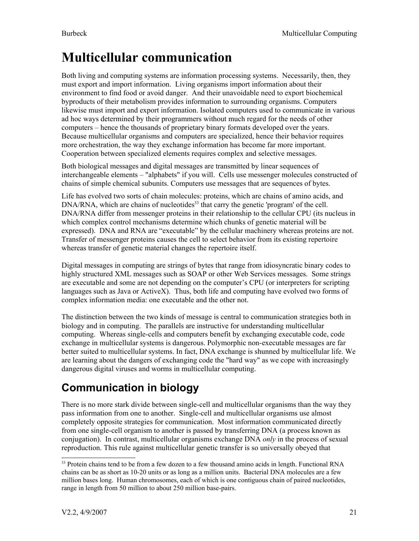# <span id="page-20-0"></span>**Multicellular communication**

Both living and computing systems are information processing systems. Necessarily, then, they must export and import information. Living organisms import information about their environment to find food or avoid danger. And their unavoidable need to export biochemical byproducts of their metabolism provides information to surrounding organisms. Computers likewise must import and export information. Isolated computers used to communicate in various ad hoc ways determined by their programmers without much regard for the needs of other computers – hence the thousands of proprietary binary formats developed over the years. Because multicellular organisms and computers are specialized, hence their behavior requires more orchestration, the way they exchange information has become far more important. Cooperation between specialized elements requires complex and selective messages.

Both biological messages and digital messages are transmitted by linear sequences of interchangeable elements – "alphabets" if you will. Cells use messenger molecules constructed of chains of simple chemical subunits. Computers use messages that are sequences of bytes.

Life has evolved two sorts of chain molecules: proteins, which are chains of amino acids, and DNA/RNA, which are chains of nucleotides<sup>[33](#page-20-1)</sup> that carry the genetic 'program' of the cell. DNA/RNA differ from messenger proteins in their relationship to the cellular CPU (its nucleus in which complex control mechanisms determine which chunks of genetic material will be expressed). DNA and RNA are "executable" by the cellular machinery whereas proteins are not. Transfer of messenger proteins causes the cell to select behavior from its existing repertoire whereas transfer of genetic material changes the repertoire itself.

Digital messages in computing are strings of bytes that range from idiosyncratic binary codes to highly structured XML messages such as SOAP or other Web Services messages. Some strings are executable and some are not depending on the computer's CPU (or interpreters for scripting languages such as Java or ActiveX). Thus, both life and computing have evolved two forms of complex information media: one executable and the other not.

The distinction between the two kinds of message is central to communication strategies both in biology and in computing. The parallels are instructive for understanding multicellular computing. Whereas single-cells and computers benefit by exchanging executable code, code exchange in multicellular systems is dangerous. Polymorphic non-executable messages are far better suited to multicellular systems. In fact, DNA exchange is shunned by multicellular life. We are learning about the dangers of exchanging code the "hard way" as we cope with increasingly dangerous digital viruses and worms in multicellular computing.

## **Communication in biology**

There is no more stark divide between single-cell and multicellular organisms than the way they pass information from one to another. Single-cell and multicellular organisms use almost completely opposite strategies for communication. Most information communicated directly from one single-cell organism to another is passed by transferring DNA (a process known as conjugation). In contrast, multicellular organisms exchange DNA *only* in the process of sexual reproduction. This rule against multicellular genetic transfer is so universally obeyed that

<span id="page-20-1"></span><sup>&</sup>lt;sup>33</sup> Protein chains tend to be from a few dozen to a few thousand amino acids in length. Functional RNA chains can be as short as 10-20 units or as long as a million units. Bacterial DNA molecules are a few million bases long. Human chromosomes, each of which is one contiguous chain of paired nucleotides, range in length from 50 million to about 250 million base-pairs.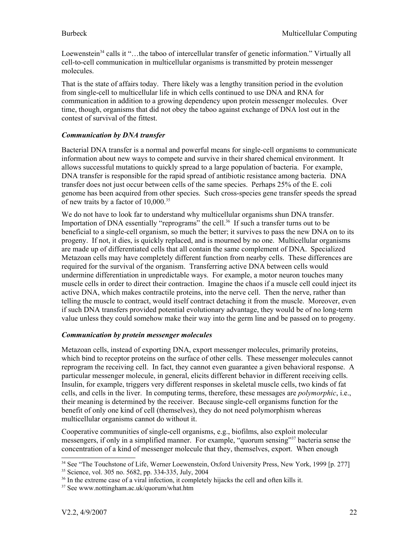Loewenstein<sup>[34](#page-21-0)</sup> calls it "...the taboo of intercellular transfer of genetic information." Virtually all cell-to-cell communication in multicellular organisms is transmitted by protein messenger molecules.

That is the state of affairs today. There likely was a lengthy transition period in the evolution from single-cell to multicellular life in which cells continued to use DNA and RNA for communication in addition to a growing dependency upon protein messenger molecules. Over time, though, organisms that did not obey the taboo against exchange of DNA lost out in the contest of survival of the fittest.

### *Communication by DNA transfer*

Bacterial DNA transfer is a normal and powerful means for single-cell organisms to communicate information about new ways to compete and survive in their shared chemical environment. It allows successful mutations to quickly spread to a large population of bacteria. For example, DNA transfer is responsible for the rapid spread of antibiotic resistance among bacteria. DNA transfer does not just occur between cells of the same species. Perhaps 25% of the E. coli genome has been acquired from other species. Such cross-species gene transfer speeds the spread of new traits by a factor of 10,000.<sup>[35](#page-21-1)</sup>

We do not have to look far to understand why multicellular organisms shun DNA transfer. Importation of DNA essentially "reprograms" the cell.<sup>[36](#page-21-2)</sup> If such a transfer turns out to be beneficial to a single-cell organism, so much the better; it survives to pass the new DNA on to its progeny. If not, it dies, is quickly replaced, and is mourned by no one. Multicellular organisms are made up of differentiated cells that all contain the same complement of DNA. Specialized Metazoan cells may have completely different function from nearby cells. These differences are required for the survival of the organism. Transferring active DNA between cells would undermine differentiation in unpredictable ways. For example, a motor neuron touches many muscle cells in order to direct their contraction. Imagine the chaos if a muscle cell could inject its active DNA, which makes contractile proteins, into the nerve cell. Then the nerve, rather than telling the muscle to contract, would itself contract detaching it from the muscle. Moreover, even if such DNA transfers provided potential evolutionary advantage, they would be of no long-term value unless they could somehow make their way into the germ line and be passed on to progeny.

#### *Communication by protein messenger molecules*

Metazoan cells, instead of exporting DNA, export messenger molecules, primarily proteins, which bind to receptor proteins on the surface of other cells. These messenger molecules cannot reprogram the receiving cell. In fact, they cannot even guarantee a given behavioral response. A particular messenger molecule, in general, elicits different behavior in different receiving cells. Insulin, for example, triggers very different responses in skeletal muscle cells, two kinds of fat cells, and cells in the liver. In computing terms, therefore, these messages are *polymorphic*, i.e., their meaning is determined by the receiver. Because single-cell organisms function for the benefit of only one kind of cell (themselves), they do not need polymorphism whereas multicellular organisms cannot do without it.

Cooperative communities of single-cell organisms, e.g., biofilms, also exploit molecular messengers, if only in a simplified manner. For example, "quorum sensing"<sup>[37](#page-21-3)</sup> bacteria sense the concentration of a kind of messenger molecule that they, themselves, export. When enough

<span id="page-21-0"></span><sup>&</sup>lt;sup>34</sup> See "The Touchstone of Life, Werner Loewenstein, Oxford University Press, New York, 1999 [p. 277]

<span id="page-21-1"></span><sup>35</sup> Science, vol. 305 no. 5682, pp. 334-335, July, 2004

<span id="page-21-2"></span><sup>&</sup>lt;sup>36</sup> In the extreme case of a viral infection, it completely hijacks the cell and often kills it.

<span id="page-21-3"></span><sup>37</sup> See www.nottingham.ac.uk/quorum/what.htm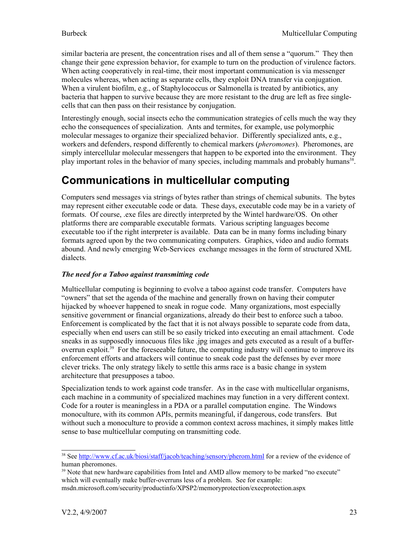similar bacteria are present, the concentration rises and all of them sense a "quorum." They then change their gene expression behavior, for example to turn on the production of virulence factors. When acting cooperatively in real-time, their most important communication is via messenger molecules whereas, when acting as separate cells, they exploit DNA transfer via conjugation. When a virulent biofilm, e.g., of Staphylococcus or Salmonella is treated by antibiotics, any bacteria that happen to survive because they are more resistant to the drug are left as free singlecells that can then pass on their resistance by conjugation.

Interestingly enough, social insects echo the communication strategies of cells much the way they echo the consequences of specialization. Ants and termites, for example, use polymorphic molecular messages to organize their specialized behavior. Differently specialized ants, e.g., workers and defenders, respond differently to chemical markers (*pheromones*). Pheromones, are simply intercellular molecular messengers that happen to be exported into the environment. They play important roles in the behavior of many species, including mammals and probably humans<sup>[38](#page-22-0)</sup>.

### **Communications in multicellular computing**

Computers send messages via strings of bytes rather than strings of chemical subunits. The bytes may represent either executable code or data. These days, executable code may be in a variety of formats. Of course, .exe files are directly interpreted by the Wintel hardware/OS. On other platforms there are comparable executable formats. Various scripting languages become executable too if the right interpreter is available. Data can be in many forms including binary formats agreed upon by the two communicating computers. Graphics, video and audio formats abound. And newly emerging Web-Services exchange messages in the form of structured XML dialects.

### *The need for a Taboo against transmitting code*

Multicellular computing is beginning to evolve a taboo against code transfer. Computers have "owners" that set the agenda of the machine and generally frown on having their computer hijacked by whoever happened to sneak in rogue code. Many organizations, most especially sensitive government or financial organizations, already do their best to enforce such a taboo. Enforcement is complicated by the fact that it is not always possible to separate code from data, especially when end users can still be so easily tricked into executing an email attachment. Code sneaks in as supposedly innocuous files like .jpg images and gets executed as a result of a buffer-overrun exploit.<sup>[39](#page-22-1)</sup> For the foreseeable future, the computing industry will continue to improve its enforcement efforts and attackers will continue to sneak code past the defenses by ever more clever tricks. The only strategy likely to settle this arms race is a basic change in system architecture that presupposes a taboo.

Specialization tends to work against code transfer. As in the case with multicellular organisms, each machine in a community of specialized machines may function in a very different context. Code for a router is meaningless in a PDA or a parallel computation engine. The Windows monoculture, with its common APIs, permits meaningful, if dangerous, code transfers. But without such a monoculture to provide a common context across machines, it simply makes little sense to base multicellular computing on transmitting code.

<span id="page-22-0"></span><sup>&</sup>lt;sup>38</sup> See <http://www.cf.ac.uk/biosi/staff/jacob/teaching/sensory/pherom.html> for a review of the evidence of human pheromones.

<span id="page-22-1"></span> $39$  Note that new hardware capabilities from Intel and AMD allow memory to be marked "no execute" which will eventually make buffer-overruns less of a problem. See for example: msdn.microsoft.com/security/productinfo/XPSP2/memoryprotection/execprotection.aspx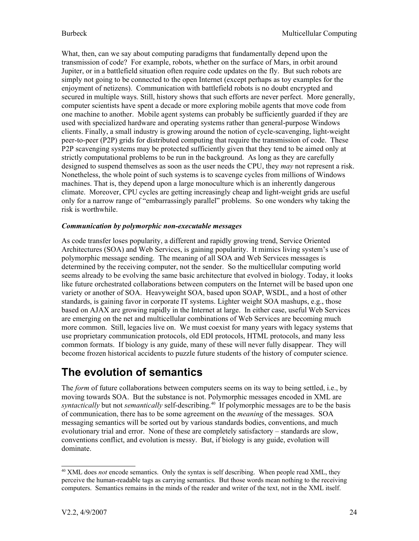What, then, can we say about computing paradigms that fundamentally depend upon the transmission of code? For example, robots, whether on the surface of Mars, in orbit around Jupiter, or in a battlefield situation often require code updates on the fly. But such robots are simply not going to be connected to the open Internet (except perhaps as toy examples for the enjoyment of netizens). Communication with battlefield robots is no doubt encrypted and secured in multiple ways. Still, history shows that such efforts are never perfect. More generally, computer scientists have spent a decade or more exploring mobile agents that move code from one machine to another. Mobile agent systems can probably be sufficiently guarded if they are used with specialized hardware and operating systems rather than general-purpose Windows clients. Finally, a small industry is growing around the notion of cycle-scavenging, light-weight peer-to-peer (P2P) grids for distributed computing that require the transmission of code. These P2P scavenging systems may be protected sufficiently given that they tend to be aimed only at strictly computational problems to be run in the background. As long as they are carefully designed to suspend themselves as soon as the user needs the CPU, they *may* not represent a risk. Nonetheless, the whole point of such systems is to scavenge cycles from millions of Windows machines. That is, they depend upon a large monoculture which is an inherently dangerous climate. Moreover, CPU cycles are getting increasingly cheap and light-weight grids are useful only for a narrow range of "embarrassingly parallel" problems. So one wonders why taking the risk is worthwhile.

#### *Communication by polymorphic non-executable messages*

As code transfer loses popularity, a different and rapidly growing trend, Service Oriented Architectures (SOA) and Web Services, is gaining popularity. It mimics living system's use of polymorphic message sending. The meaning of all SOA and Web Services messages is determined by the receiving computer, not the sender. So the multicellular computing world seems already to be evolving the same basic architecture that evolved in biology. Today, it looks like future orchestrated collaborations between computers on the Internet will be based upon one variety or another of SOA. Heavyweight SOA, based upon SOAP, WSDL, and a host of other standards, is gaining favor in corporate IT systems. Lighter weight SOA mashups, e.g., those based on AJAX are growing rapidly in the Internet at large. In either case, useful Web Services are emerging on the net and multicellular combinations of Web Services are becoming much more common. Still, legacies live on. We must coexist for many years with legacy systems that use proprietary communication protocols, old EDI protocols, HTML protocols, and many less common formats. If biology is any guide, many of these will never fully disappear. They will become frozen historical accidents to puzzle future students of the history of computer science.

### **The evolution of semantics**

The *form* of future collaborations between computers seems on its way to being settled, i.e., by moving towards SOA. But the substance is not. Polymorphic messages encoded in XML are syntactically but not *semantically* self-describing.<sup>[40](#page-23-0)</sup> If polymorphic messages are to be the basis of communication, there has to be some agreement on the *meaning* of the messages. SOA messaging semantics will be sorted out by various standards bodies, conventions, and much evolutionary trial and error. None of these are completely satisfactory – standards are slow, conventions conflict, and evolution is messy. But, if biology is any guide, evolution will dominate.

<span id="page-23-0"></span><sup>&</sup>lt;sup>40</sup> XML does *not* encode semantics. Only the syntax is self describing. When people read XML, they perceive the human-readable tags as carrying semantics. But those words mean nothing to the receiving computers. Semantics remains in the minds of the reader and writer of the text, not in the XML itself.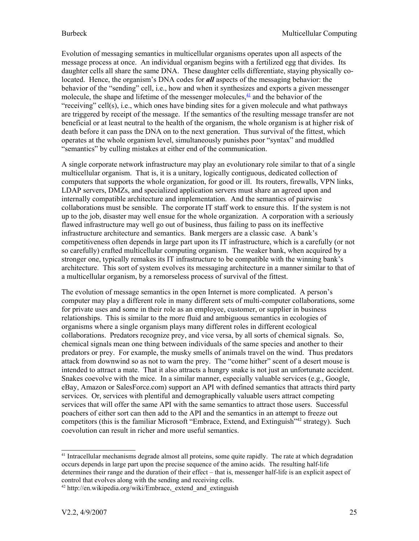Evolution of messaging semantics in multicellular organisms operates upon all aspects of the message process at once. An individual organism begins with a fertilized egg that divides. Its daughter cells all share the same DNA. These daughter cells differentiate, staying physically colocated. Hence, the organism's DNA codes for *all* aspects of the messaging behavior: the behavior of the "sending" cell, i.e., how and when it synthesizes and exports a given messenger molecule, the shape and lifetime of the messenger molecules, <sup>[41](file:///C:/Documents and Settings/Steve/My Documents/HomePage/EvolutionOfComputingHomepage/Multicellular/MessagingInComputing.old.html#MICftnote3)</sup> and the behavior of the "receiving" cell(s), i.e., which ones have binding sites for a given molecule and what pathways are triggered by receipt of the message. If the semantics of the resulting message transfer are not beneficial or at least neutral to the health of the organism, the whole organism is at higher risk of death before it can pass the DNA on to the next generation. Thus survival of the fittest, which operates at the whole organism level, simultaneously punishes poor "syntax" and muddled "semantics" by culling mistakes at either end of the communication.

A single corporate network infrastructure may play an evolutionary role similar to that of a single multicellular organism. That is, it is a unitary, logically contiguous, dedicated collection of computers that supports the whole organization, for good or ill. Its routers, firewalls, VPN links, LDAP servers, DMZs, and specialized application servers must share an agreed upon and internally compatible architecture and implementation. And the semantics of pairwise collaborations must be sensible. The corporate IT staff work to ensure this. If the system is not up to the job, disaster may well ensue for the whole organization. A corporation with a seriously flawed infrastructure may well go out of business, thus failing to pass on its ineffective infrastructure architecture and semantics. Bank mergers are a classic case. A bank's competitiveness often depends in large part upon its IT infrastructure, which is a carefully (or not so carefully) crafted multicellular computing organism. The weaker bank, when acquired by a stronger one, typically remakes its IT infrastructure to be compatible with the winning bank's architecture. This sort of system evolves its messaging architecture in a manner similar to that of a multicellular organism, by a remorseless process of survival of the fittest.

The evolution of message semantics in the open Internet is more complicated. A person's computer may play a different role in many different sets of multi-computer collaborations, some for private uses and some in their role as an employee, customer, or supplier in business relationships. This is similar to the more fluid and ambiguous semantics in ecologies of organisms where a single organism plays many different roles in different ecological collaborations. Predators recognize prey, and vice versa, by all sorts of chemical signals. So, chemical signals mean one thing between individuals of the same species and another to their predators or prey. For example, the musky smells of animals travel on the wind. Thus predators attack from downwind so as not to warn the prey. The "come hither" scent of a desert mouse is intended to attract a mate. That it also attracts a hungry snake is not just an unfortunate accident. Snakes coevolve with the mice. In a similar manner, especially valuable services (e.g., Google, eBay, Amazon or SalesForce.com) support an API with defined semantics that attracts third party services. Or, services with plentiful and demographically valuable users attract competing services that will offer the same API with the same semantics to attract those users. Successful poachers of either sort can then add to the API and the semantics in an attempt to freeze out competitors (this is the familiar Microsoft "Embrace, Extend, and Extinguish"<sup>[42](#page-24-1)</sup> strategy). Such coevolution can result in richer and more useful semantics.

<span id="page-24-0"></span><sup>&</sup>lt;sup>41</sup> Intracellular mechanisms degrade almost all proteins, some quite rapidly. The rate at which degradation occurs depends in large part upon the precise sequence of the amino acids. The resulting half-life determines their range and the duration of their effect – that is, messenger half-life is an explicit aspect of control that evolves along with the sending and receiving cells.

<span id="page-24-1"></span><sup>&</sup>lt;sup>42</sup> http://en.wikipedia.org/wiki/Embrace, extend and extinguish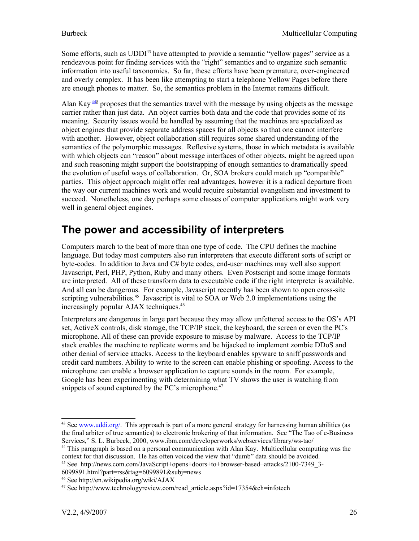Some efforts, such as UDDI<sup>[43](#page-25-0)</sup> have attempted to provide a semantic "yellow pages" service as a rendezvous point for finding services with the "right" semantics and to organize such semantic information into useful taxonomies. So far, these efforts have been premature, over-engineered and overly complex. It has been like attempting to start a telephone Yellow Pages before there are enough phones to matter. So, the semantics problem in the Internet remains difficult.

Alan Kay<sup> $44§$  $44§$ </sup> proposes that the semantics travel with the message by using objects as the message carrier rather than just data. An object carries both data and the code that provides some of its meaning. Security issues would be handled by assuming that the machines are specialized as object engines that provide separate address spaces for all objects so that one cannot interfere with another. However, object collaboration still requires some shared understanding of the semantics of the polymorphic messages. Reflexive systems, those in which metadata is available with which objects can "reason" about message interfaces of other objects, might be agreed upon and such reasoning might support the bootstrapping of enough semantics to dramatically speed the evolution of useful ways of collaboration. Or, SOA brokers could match up "compatible" parties. This object approach might offer real advantages, however it is a radical departure from the way our current machines work and would require substantial evangelism and investment to succeed. Nonetheless, one day perhaps some classes of computer applications might work very well in general object engines.

### **The power and accessibility of interpreters**

Computers march to the beat of more than one type of code. The CPU defines the machine language. But today most computers also run interpreters that execute different sorts of script or byte-codes. In addition to Java and C# byte codes, end-user machines may well also support Javascript, Perl, PHP, Python, Ruby and many others. Even Postscript and some image formats are interpreted. All of these transform data to executable code if the right interpreter is available. And all can be dangerous. For example, Javascript recently has been shown to open cross-site scripting vulnerabilities.<sup>[45](#page-25-2)</sup> Javascript is vital to SOA or Web 2.0 implementations using the increasingly popular AJAX techniques. [46](#page-25-3)

Interpreters are dangerous in large part because they may allow unfettered access to the OS's API set, ActiveX controls, disk storage, the TCP/IP stack, the keyboard, the screen or even the PC's microphone. All of these can provide exposure to misuse by malware. Access to the TCP/IP stack enables the machine to replicate worms and be hijacked to implement zombie DDoS and other denial of service attacks. Access to the keyboard enables spyware to sniff passwords and credit card numbers. Ability to write to the screen can enable phishing or spoofing. Access to the microphone can enable a browser application to capture sounds in the room. For example, Google has been experimenting with determining what TV shows the user is watching from snippets of sound captured by the PC's microphone.<sup>[47](#page-25-4)</sup>

<span id="page-25-0"></span><sup>&</sup>lt;sup>43</sup> See [www.uddi.org/.](http://www.uddi.org/) This approach is part of a more general strategy for harnessing human abilities (as the final arbiter of true semantics) to electronic brokering of that information. See "The Tao of e-Business Services," S. L. Burbeck, 2000, www.ibm.com/developerworks/webservices/library/ws-tao/

<span id="page-25-1"></span><sup>&</sup>lt;sup>44</sup> This paragraph is based on a personal communication with Alan Kay. Multicellular computing was the context for that discussion. He has often voiced the view that "dumb" data should be avoided.

<span id="page-25-2"></span><sup>45</sup> See http://news.com.com/JavaScript+opens+doors+to+browser-based+attacks/2100-7349\_3- 6099891.html?part=rss&tag=6099891&subj=news

<span id="page-25-3"></span><sup>46</sup> See http://en.wikipedia.org/wiki/AJAX

<span id="page-25-4"></span><sup>&</sup>lt;sup>47</sup> See http://www.technologyreview.com/read\_article.aspx?id=17354&ch=infotech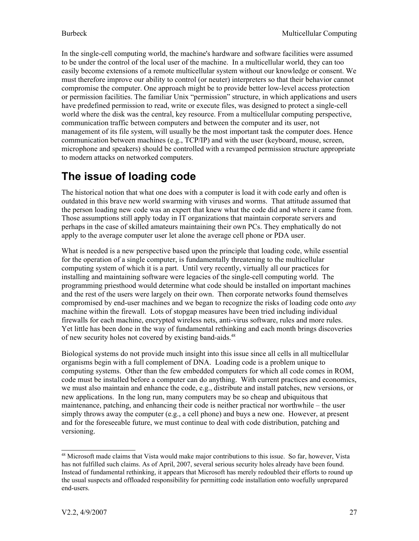In the single-cell computing world, the machine's hardware and software facilities were assumed to be under the control of the local user of the machine. In a multicellular world, they can too easily become extensions of a remote multicellular system without our knowledge or consent. We must therefore improve our ability to control (or neuter) interpreters so that their behavior cannot compromise the computer. One approach might be to provide better low-level access protection or permission facilities. The familiar Unix "permission" structure, in which applications and users have predefined permission to read, write or execute files, was designed to protect a single-cell world where the disk was the central, key resource. From a multicellular computing perspective, communication traffic between computers and between the computer and its user, not management of its file system, will usually be the most important task the computer does. Hence communication between machines (e.g., TCP/IP) and with the user (keyboard, mouse, screen, microphone and speakers) should be controlled with a revamped permission structure appropriate to modern attacks on networked computers.

### **The issue of loading code**

The historical notion that what one does with a computer is load it with code early and often is outdated in this brave new world swarming with viruses and worms. That attitude assumed that the person loading new code was an expert that knew what the code did and where it came from. Those assumptions still apply today in IT organizations that maintain corporate servers and perhaps in the case of skilled amateurs maintaining their own PCs. They emphatically do not apply to the average computer user let alone the average cell phone or PDA user.

What is needed is a new perspective based upon the principle that loading code, while essential for the operation of a single computer, is fundamentally threatening to the multicellular computing system of which it is a part. Until very recently, virtually all our practices for installing and maintaining software were legacies of the single-cell computing world. The programming priesthood would determine what code should be installed on important machines and the rest of the users were largely on their own. Then corporate networks found themselves compromised by end-user machines and we began to recognize the risks of loading code onto *any* machine within the firewall. Lots of stopgap measures have been tried including individual firewalls for each machine, encrypted wireless nets, anti-virus software, rules and more rules. Yet little has been done in the way of fundamental rethinking and each month brings discoveries of new security holes not covered by existing band-aids.<sup>[48](#page-26-0)</sup>

Biological systems do not provide much insight into this issue since all cells in all multicellular organisms begin with a full complement of DNA. Loading code is a problem unique to computing systems. Other than the few embedded computers for which all code comes in ROM, code must be installed before a computer can do anything. With current practices and economics, we must also maintain and enhance the code, e.g., distribute and install patches, new versions, or new applications. In the long run, many computers may be so cheap and ubiquitous that maintenance, patching, and enhancing their code is neither practical nor worthwhile – the user simply throws away the computer (e.g., a cell phone) and buys a new one. However, at present and for the foreseeable future, we must continue to deal with code distribution, patching and versioning.

<span id="page-26-0"></span><sup>&</sup>lt;sup>48</sup> Microsoft made claims that Vista would make major contributions to this issue. So far, however, Vista has not fulfilled such claims. As of April, 2007, several serious security holes already have been found. Instead of fundamental rethinking, it appears that Microsoft has merely redoubled their efforts to round up the usual suspects and offloaded responsibility for permitting code installation onto woefully unprepared end-users.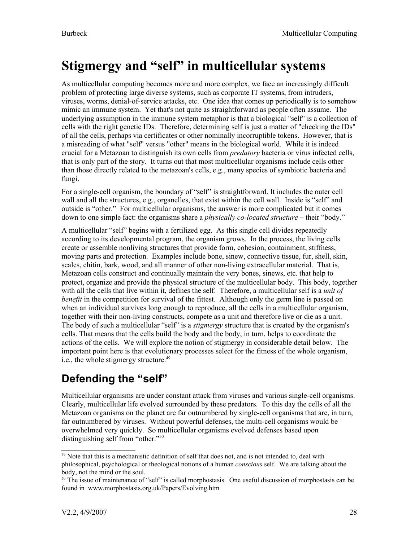# <span id="page-27-0"></span>**Stigmergy and "self" in multicellular systems**

As multicellular computing becomes more and more complex, we face an increasingly difficult problem of protecting large diverse systems, such as corporate IT systems, from intruders, viruses, worms, denial-of-service attacks, etc. One idea that comes up periodically is to somehow mimic an immune system. Yet that's not quite as straightforward as people often assume. The underlying assumption in the immune system metaphor is that a biological "self" is a collection of cells with the right genetic IDs. Therefore, determining self is just a matter of "checking the IDs" of all the cells, perhaps via certificates or other nominally incorruptible tokens. However, that is a misreading of what "self" versus "other" means in the biological world. While it is indeed crucial for a Metazoan to distinguish its own cells from *predatory* bacteria or virus infected cells, that is only part of the story. It turns out that most multicellular organisms include cells other than those directly related to the metazoan's cells, e.g., many species of symbiotic bacteria and fungi.

For a single-cell organism, the boundary of "self" is straightforward. It includes the outer cell wall and all the structures, e.g., organelles, that exist within the cell wall. Inside is "self" and outside is "other." For multicellular organisms, the answer is more complicated but it comes down to one simple fact: the organisms share a *physically co-located structure* – their "body."

A multicellular "self" begins with a fertilized egg. As this single cell divides repeatedly according to its developmental program, the organism grows. In the process, the living cells create or assemble nonliving structures that provide form, cohesion, containment, stiffness, moving parts and protection. Examples include bone, sinew, connective tissue, fur, shell, skin, scales, chitin, bark, wood, and all manner of other non-living extracellular material. That is, Metazoan cells construct and continually maintain the very bones, sinews, etc. that help to protect, organize and provide the physical structure of the multicellular body. This body, together with all the cells that live within it, defines the self. Therefore, a multicellular self is a *unit of benefit* in the competition for survival of the fittest. Although only the germ line is passed on when an individual survives long enough to reproduce, all the cells in a multicellular organism, together with their non-living constructs, compete as a unit and therefore live or die as a unit. The body of such a multicellular "self" is a *stigmergy* structure that is created by the organism's cells. That means that the cells build the body and the body, in turn, helps to coordinate the actions of the cells. We will explore the notion of stigmergy in considerable detail below. The important point here is that evolutionary processes select for the fitness of the whole organism, i.e., the whole stigmergy structure.<sup>[49](#page-27-1)</sup>

## **Defending the "self"**

Multicellular organisms are under constant attack from viruses and various single-cell organisms. Clearly, multicellular life evolved surrounded by these predators. To this day the cells of all the Metazoan organisms on the planet are far outnumbered by single-cell organisms that are, in turn, far outnumbered by viruses. Without powerful defenses, the multi-cell organisms would be overwhelmed very quickly. So multicellular organisms evolved defenses based upon distinguishing self from "other."[50](#page-27-2)

<span id="page-27-1"></span><sup>&</sup>lt;sup>49</sup> Note that this is a mechanistic definition of self that does not, and is not intended to, deal with philosophical, psychological or theological notions of a human *conscious* self. We are talking about the body, not the mind or the soul.

<span id="page-27-2"></span><sup>&</sup>lt;sup>50</sup> The issue of maintenance of "self" is called morphostasis. One useful discussion of morphostasis can be found in www.morphostasis.org.uk/Papers/Evolving.htm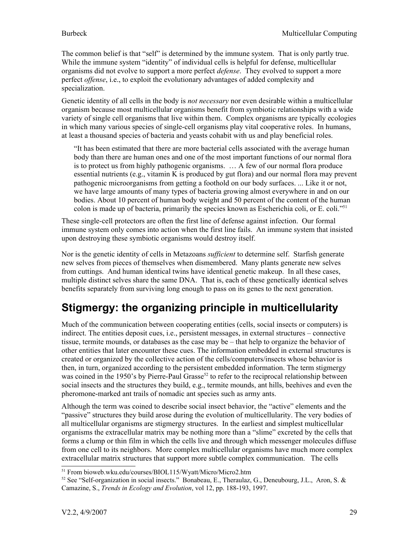The common belief is that "self" is determined by the immune system. That is only partly true. While the immune system "identity" of individual cells is helpful for defense, multicellular organisms did not evolve to support a more perfect *defense*. They evolved to support a more perfect *offense*, i.e., to exploit the evolutionary advantages of added complexity and specialization.

Genetic identity of all cells in the body is *not necessary* nor even desirable within a multicellular organism because most multicellular organisms benefit from symbiotic relationships with a wide variety of single cell organisms that live within them. Complex organisms are typically ecologies in which many various species of single-cell organisms play vital cooperative roles. In humans, at least a thousand species of bacteria and yeasts cohabit with us and play beneficial roles.

"It has been estimated that there are more bacterial cells associated with the average human body than there are human ones and one of the most important functions of our normal flora is to protect us from highly pathogenic organisms. … A few of our normal flora produce essential nutrients (e.g., vitamin K is produced by gut flora) and our normal flora may prevent pathogenic microorganisms from getting a foothold on our body surfaces. ... Like it or not, we have large amounts of many types of bacteria growing almost everywhere in and on our bodies. About 10 percent of human body weight and 50 percent of the content of the human colon is made up of bacteria, primarily the species known as Escherichia coli, or E. coli."<sup>[51](#page-28-0)</sup>

These single-cell protectors are often the first line of defense against infection. Our formal immune system only comes into action when the first line fails. An immune system that insisted upon destroying these symbiotic organisms would destroy itself.

Nor is the genetic identity of cells in Metazoans *sufficient* to determine self. Starfish generate new selves from pieces of themselves when dismembered. Many plants generate new selves from cuttings. And human identical twins have identical genetic makeup. In all these cases, multiple distinct selves share the same DNA. That is, each of these genetically identical selves benefits separately from surviving long enough to pass on its genes to the next generation.

## **Stigmergy: the organizing principle in multicellularity**

Much of the communication between cooperating entities (cells, social insects or computers) is indirect. The entities deposit cues, i.e., persistent messages, in external structures – connective tissue, termite mounds, or databases as the case may be – that help to organize the behavior of other entities that later encounter these cues. The information embedded in external structures is created or organized by the collective action of the cells/computers/insects whose behavior is then, in turn, organized according to the persistent embedded information. The term stigmergy was coined in the 1950's by Pierre-Paul Grasse<sup>[52](#page-28-1)</sup> to refer to the reciprocal relationship between social insects and the structures they build, e.g., termite mounds, ant hills, beehives and even the pheromone-marked ant trails of nomadic ant species such as army ants.

Although the term was coined to describe social insect behavior, the "active" elements and the "passive" structures they build arose during the evolution of multicellularity. The very bodies of all multicellular organisms are stigmergy structures. In the earliest and simplest multicellular organisms the extracellular matrix may be nothing more than a "slime" excreted by the cells that forms a clump or thin film in which the cells live and through which messenger molecules diffuse from one cell to its neighbors. More complex multicellular organisms have much more complex extracellular matrix structures that support more subtle complex communication. The cells

<span id="page-28-0"></span><sup>51</sup> From bioweb.wku.edu/courses/BIOL115/Wyatt/Micro/Micro2.htm

<span id="page-28-1"></span><sup>52</sup> See "Self-organization in social insects." Bonabeau, E., Theraulaz, G., Deneubourg, J.L., Aron, S. & Camazine, S., *Trends in Ecology and Evolution*, vol 12, pp. 188-193, 1997.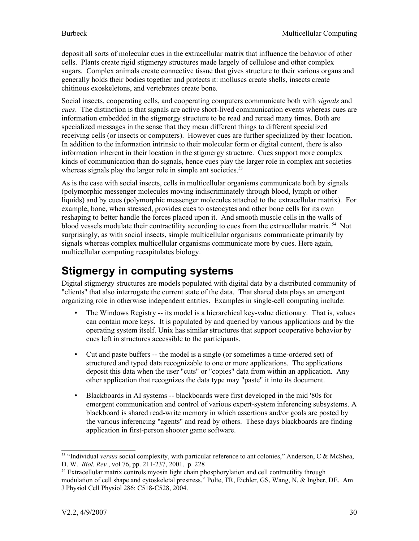deposit all sorts of molecular cues in the extracellular matrix that influence the behavior of other cells. Plants create rigid stigmergy structures made largely of cellulose and other complex sugars. Complex animals create connective tissue that gives structure to their various organs and generally holds their bodies together and protects it: molluscs create shells, insects create chitinous exoskeletons, and vertebrates create bone.

Social insects, cooperating cells, and cooperating computers communicate both with *signals* and *cues*. The distinction is that signals are active short-lived communication events whereas cues are information embedded in the stigmergy structure to be read and reread many times. Both are specialized messages in the sense that they mean different things to different specialized receiving cells (or insects or computers). However cues are further specialized by their location. In addition to the information intrinsic to their molecular form or digital content, there is also information inherent in their location in the stigmergy structure. Cues support more complex kinds of communication than do signals, hence cues play the larger role in complex ant societies whereas signals play the larger role in simple ant societies.<sup>[53](#page-29-0)</sup>

As is the case with social insects, cells in multicellular organisms communicate both by signals (polymorphic messenger molecules moving indiscriminately through blood, lymph or other liquids) and by cues (polymorphic messenger molecules attached to the extracellular matrix). For example, bone, when stressed, provides cues to osteocytes and other bone cells for its own reshaping to better handle the forces placed upon it. And smooth muscle cells in the walls of blood vessels modulate their contractility according to cues from the extracellular matrix.<sup>[54](#page-29-1)</sup> Not surprisingly, as with social insects, simple multicellular organisms communicate primarily by signals whereas complex multicellular organisms communicate more by cues. Here again, multicellular computing recapitulates biology.

## **Stigmergy in computing systems**

Digital stigmergy structures are models populated with digital data by a distributed community of "clients" that also interrogate the current state of the data. That shared data plays an emergent organizing role in otherwise independent entities. Examples in single-cell computing include:

- The Windows Registry -- its model is a hierarchical key-value dictionary. That is, values can contain more keys. It is populated by and queried by various applications and by the operating system itself. Unix has similar structures that support cooperative behavior by cues left in structures accessible to the participants.
- Cut and paste buffers -- the model is a single (or sometimes a time-ordered set) of structured and typed data recognizable to one or more applications. The applications deposit this data when the user "cuts" or "copies" data from within an application. Any other application that recognizes the data type may "paste" it into its document.
- Blackboards in AI systems -- blackboards were first developed in the mid '80s for emergent communication and control of various expert-system inferencing subsystems. A blackboard is shared read-write memory in which assertions and/or goals are posted by the various inferencing "agents" and read by others. These days blackboards are finding application in first-person shooter game software.

<span id="page-29-0"></span><sup>53</sup> "Individual *versus* social complexity, with particular reference to ant colonies," Anderson, C & McShea, D. W. *Biol. Rev.*, vol 76, pp. 211-237, 2001. p. 228

<span id="page-29-1"></span><sup>&</sup>lt;sup>54</sup> Extracellular matrix controls myosin light chain phosphorylation and cell contractility through modulation of cell shape and cytoskeletal prestress." Polte, TR, Eichler, GS, Wang, N, & Ingber, DE. Am J Physiol Cell Physiol 286: C518-C528, 2004.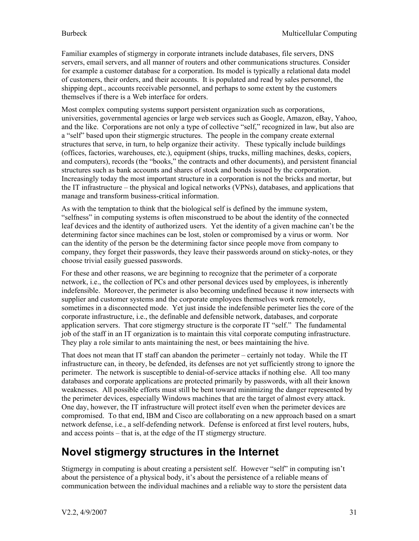Familiar examples of stigmergy in corporate intranets include databases, file servers, DNS servers, email servers, and all manner of routers and other communications structures. Consider for example a customer database for a corporation. Its model is typically a relational data model of customers, their orders, and their accounts. It is populated and read by sales personnel, the shipping dept., accounts receivable personnel, and perhaps to some extent by the customers themselves if there is a Web interface for orders.

Most complex computing systems support persistent organization such as corporations, universities, governmental agencies or large web services such as Google, Amazon, eBay, Yahoo, and the like. Corporations are not only a type of collective "self," recognized in law, but also are a "self" based upon their stigmergic structures. The people in the company create external structures that serve, in turn, to help organize their activity. These typically include buildings (offices, factories, warehouses, etc.), equipment (ships, trucks, milling machines, desks, copiers, and computers), records (the "books," the contracts and other documents), and persistent financial structures such as bank accounts and shares of stock and bonds issued by the corporation. Increasingly today the most important structure in a corporation is not the bricks and mortar, but the IT infrastructure – the physical and logical networks (VPNs), databases, and applications that manage and transform business-critical information.

As with the temptation to think that the biological self is defined by the immune system, "selfness" in computing systems is often misconstrued to be about the identity of the connected leaf devices and the identity of authorized users. Yet the identity of a given machine can't be the determining factor since machines can be lost, stolen or compromised by a virus or worm. Nor can the identity of the person be the determining factor since people move from company to company, they forget their passwords, they leave their passwords around on sticky-notes, or they choose trivial easily guessed passwords.

For these and other reasons, we are beginning to recognize that the perimeter of a corporate network, i.e., the collection of PCs and other personal devices used by employees, is inherently indefensible. Moreover, the perimeter is also becoming undefined because it now intersects with supplier and customer systems and the corporate employees themselves work remotely, sometimes in a disconnected mode. Yet just inside the indefensible perimeter lies the core of the corporate infrastructure, i.e., the definable and defensible network, databases, and corporate application servers. That core stigmergy structure is the corporate IT "self." The fundamental job of the staff in an IT organization is to maintain this vital corporate computing infrastructure. They play a role similar to ants maintaining the nest, or bees maintaining the hive.

That does not mean that IT staff can abandon the perimeter – certainly not today. While the IT infrastructure can, in theory, be defended, its defenses are not yet sufficiently strong to ignore the perimeter. The network is susceptible to denial-of-service attacks if nothing else. All too many databases and corporate applications are protected primarily by passwords, with all their known weaknesses. All possible efforts must still be bent toward minimizing the danger represented by the perimeter devices, especially Windows machines that are the target of almost every attack. One day, however, the IT infrastructure will protect itself even when the perimeter devices are compromised. To that end, IBM and Cisco are collaborating on a new approach based on a smart network defense, i.e., a self-defending network. Defense is enforced at first level routers, hubs, and access points – that is, at the edge of the IT stigmergy structure.

## **Novel stigmergy structures in the Internet**

Stigmergy in computing is about creating a persistent self. However "self" in computing isn't about the persistence of a physical body, it's about the persistence of a reliable means of communication between the individual machines and a reliable way to store the persistent data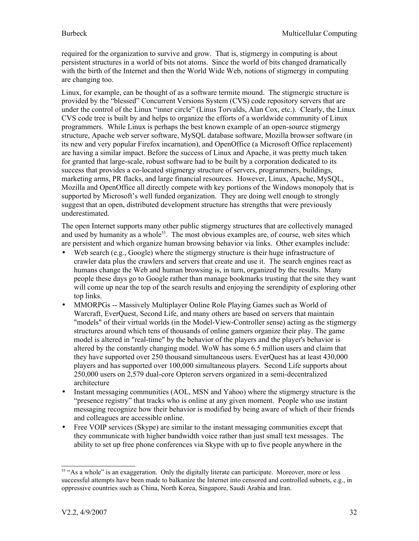required for the organization to survive and grow. That is, stigmergy in computing is about persistent structures in a world of bits not atoms. Since the world of bits changed dramatically with the birth of the Internet and then the World Wide Web, notions of stigmergy in computing are changing too.

Linux, for example, can be thought of as a software termite mound. The stigmergic structure is provided by the "blessed" Concurrent Versions System (CVS) code repository servers that are under the control of the Linux "inner circle" (Linus Torvalds, Alan Cox, etc.). Clearly, the Linux CVS code tree is built by and helps to organize the efforts of a worldwide community of Linux programmers. While Linux is perhaps the best known example of an open-source stigmergy structure, Apache web server software, MySQL database software, Mozilla browser software (in its new and very popular Firefox incarnation), and OpenOffice (a Microsoft Office replacement) are having a similar impact. Before the success of Linux and Apache, it was pretty much taken for granted that large-scale, robust software had to be built by a corporation dedicated to its success that provides a co-located stigmergy structure of servers, programmers, buildings, marketing arms, PR flacks, and large financial resources. However, Linux, Apache, MySQL, Mozilla and OpenOffice all directly compete with key portions of the Windows monopoly that is supported by Microsoft's well funded organization. They are doing well enough to strongly suggest that an open, distributed development structure has strengths that were previously underestimated.

The open Internet supports many other public stigmergy structures that are collectively managed and used by humanity as a whole<sup>[55](#page-31-0)</sup>. The most obvious examples are, of course, web sites which are persistent and which organize human browsing behavior via links. Other examples include:

- Web search (e.g., Google) where the stigmergy structure is their huge infrastructure of crawler data plus the crawlers and servers that create and use it. The search engines react as humans change the Web and human browsing is, in turn, organized by the results. Many people these days go to Google rather than manage bookmarks trusting that the site they want will come up near the top of the search results and enjoying the serendipity of exploring other top links.
- MMORPGs -- Massively Multiplayer Online Role Playing Games such as World of Warcraft, EverQuest, Second Life, and many others are based on servers that maintain "models" of their virtual worlds (in the Model-View-Controller sense) acting as the stigmergy structures around which tens of thousands of online gamers organize their play. The game model is altered in "real-time" by the behavior of the players and the player's behavior is altered by the constantly changing model. WoW has some 6.5 million users and claim that they have supported over 250 thousand simultaneous users. EverQuest has at least 430,000 players and has supported over 100,000 simultaneous players. Second Life supports about 250,000 users on 2,579 dual-core Opteron servers organized in a semi-decentralized architecture
- Instant messaging communities (AOL, MSN and Yahoo) where the stigmergy structure is the "presence registry" that tracks who is online at any given moment. People who use instant messaging recognize how their behavior is modified by being aware of which of their friends and colleagues are accessible online.
- Free VOIP services (Skype) are similar to the instant messaging communities except that they communicate with higher bandwidth voice rather than just small text messages. The ability to set up free phone conferences via Skype with up to five people anywhere in the

<span id="page-31-0"></span><sup>&</sup>lt;sup>55</sup> "As a whole" is an exaggeration. Only the digitally literate can participate. Moreover, more or less successful attempts have been made to balkanize the Internet into censored and controlled subnets, e.g., in oppressive countries such as China, North Korea, Singapore, Saudi Arabia and Iran.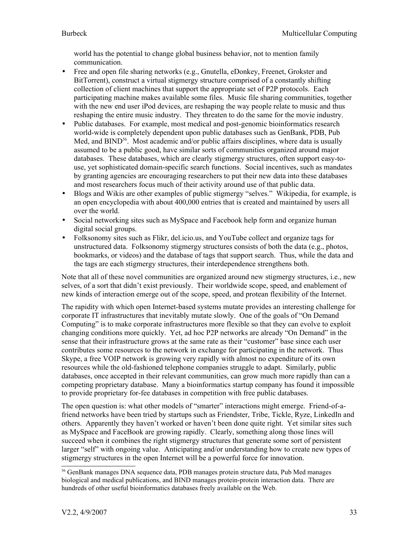world has the potential to change global business behavior, not to mention family communication.

- Free and open file sharing networks (e.g., Gnutella, eDonkey, Freenet, Grokster and BitTorrent), construct a virtual stigmergy structure comprised of a constantly shifting collection of client machines that support the appropriate set of P2P protocols. Each participating machine makes available some files. Music file sharing communities, together with the new end user iPod devices, are reshaping the way people relate to music and thus reshaping the entire music industry. They threaten to do the same for the movie industry.
- Public databases. For example, most medical and post-genomic bioinformatics research world-wide is completely dependent upon public databases such as GenBank, PDB, Pub Med, and BIND<sup>[56](#page-32-0)</sup>. Most academic and/or public affairs disciplines, where data is usually assumed to be a public good, have similar sorts of communities organized around major databases. These databases, which are clearly stigmergy structures, often support easy-touse, yet sophisticated domain-specific search functions. Social incentives, such as mandates by granting agencies are encouraging researchers to put their new data into these databases and most researchers focus much of their activity around use of that public data.
- Blogs and Wikis are other examples of public stigmergy "selves." Wikipedia, for example, is an open encyclopedia with about 400,000 entries that is created and maintained by users all over the world.
- Social networking sites such as MySpace and Facebook help form and organize human digital social groups.
- Folksonomy sites such as Flikr, del.icio.us, and YouTube collect and organize tags for unstructured data. Folksonomy stigmergy structures consists of both the data (e.g., photos, bookmarks, or videos) and the database of tags that support search. Thus, while the data and the tags are each stigmergy structures, their interdependence strengthens both.

Note that all of these novel communities are organized around new stigmergy structures, i.e., new selves, of a sort that didn't exist previously. Their worldwide scope, speed, and enablement of new kinds of interaction emerge out of the scope, speed, and protean flexibility of the Internet.

The rapidity with which open Internet-based systems mutate provides an interesting challenge for corporate IT infrastructures that inevitably mutate slowly. One of the goals of "On Demand Computing" is to make corporate infrastructures more flexible so that they can evolve to exploit changing conditions more quickly. Yet, ad hoc P2P networks are already "On Demand" in the sense that their infrastructure grows at the same rate as their "customer" base since each user contributes some resources to the network in exchange for participating in the network. Thus Skype, a free VOIP network is growing very rapidly with almost no expenditure of its own resources while the old-fashioned telephone companies struggle to adapt. Similarly, public databases, once accepted in their relevant communities, can grow much more rapidly than can a competing proprietary database. Many a bioinformatics startup company has found it impossible to provide proprietary for-fee databases in competition with free public databases.

The open question is: what other models of "smarter" interactions might emerge. Friend-of-afriend networks have been tried by startups such as Friendster, Tribe, Tickle, Ryze, LinkedIn and others. Apparently they haven't worked or haven't been done quite right. Yet similar sites such as MySpace and FaceBook are growing rapidly. Clearly, something along those lines will succeed when it combines the right stigmergy structures that generate some sort of persistent larger "self" with ongoing value. Anticipating and/or understanding how to create new types of stigmergy structures in the open Internet will be a powerful force for innovation.

<span id="page-32-0"></span><sup>56</sup> GenBank manages DNA sequence data, PDB manages protein structure data, Pub Med manages biological and medical publications, and BIND manages protein-protein interaction data. There are hundreds of other useful bioinformatics databases freely available on the Web.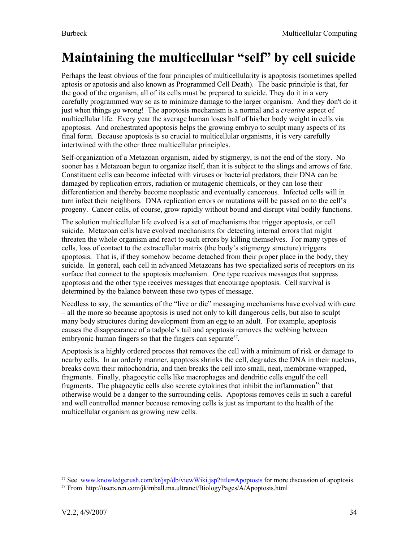# <span id="page-33-0"></span>**Maintaining the multicellular "self" by cell suicide**

Perhaps the least obvious of the four principles of multicellularity is apoptosis (sometimes spelled aptosis or apotosis and also known as Programmed Cell Death). The basic principle is that, for the good of the organism, all of its cells must be prepared to suicide. They do it in a very carefully programmed way so as to minimize damage to the larger organism. And they don't do it just when things go wrong! The apoptosis mechanism is a normal and a *creative* aspect of multicellular life. Every year the average human loses half of his/her body weight in cells via apoptosis. And orchestrated apoptosis helps the growing embryo to sculpt many aspects of its final form. Because apoptosis is so crucial to multicellular organisms, it is very carefully intertwined with the other three multicellular principles.

Self-organization of a Metazoan organism, aided by stigmergy, is not the end of the story. No sooner has a Metazoan begun to organize itself, than it is subject to the slings and arrows of fate. Constituent cells can become infected with viruses or bacterial predators, their DNA can be damaged by replication errors, radiation or mutagenic chemicals, or they can lose their differentiation and thereby become neoplastic and eventually cancerous. Infected cells will in turn infect their neighbors. DNA replication errors or mutations will be passed on to the cell's progeny. Cancer cells, of course, grow rapidly without bound and disrupt vital bodily functions.

The solution multicellular life evolved is a set of mechanisms that trigger apoptosis, or cell suicide. Metazoan cells have evolved mechanisms for detecting internal errors that might threaten the whole organism and react to such errors by killing themselves. For many types of cells, loss of contact to the extracellular matrix (the body's stigmergy structure) triggers apoptosis. That is, if they somehow become detached from their proper place in the body, they suicide. In general, each cell in advanced Metazoans has two specialized sorts of receptors on its surface that connect to the apoptosis mechanism. One type receives messages that suppress apoptosis and the other type receives messages that encourage apoptosis. Cell survival is determined by the balance between these two types of message.

Needless to say, the semantics of the "live or die" messaging mechanisms have evolved with care – all the more so because apoptosis is used not only to kill dangerous cells, but also to sculpt many body structures during development from an egg to an adult. For example, apoptosis causes the disappearance of a tadpole's tail and apoptosis removes the webbing between embryonic human fingers so that the fingers can separate<sup>[57](#page-33-1)</sup>.

Apoptosis is a highly ordered process that removes the cell with a minimum of risk or damage to nearby cells. In an orderly manner, apoptosis shrinks the cell, degrades the DNA in their nucleus, breaks down their mitochondria, and then breaks the cell into small, neat, membrane-wrapped, fragments. Finally, phagocytic cells like macrophages and dendritic cells engulf the cell fragments. The phagocytic cells also secrete cytokines that inhibit the inflammation<sup>[58](#page-33-2)</sup> that otherwise would be a danger to the surrounding cells. Apoptosis removes cells in such a careful and well controlled manner because removing cells is just as important to the health of the multicellular organism as growing new cells.

<span id="page-33-1"></span><sup>&</sup>lt;sup>57</sup> See [www.knowledgerush.com/kr/jsp/db/viewWiki.jsp?title=Apoptosis](http://www.knowledgerush.com/kr/jsp/db/viewWiki.jsp?title=Apoptosis) for more discussion of apoptosis.

<span id="page-33-2"></span><sup>58</sup> From http://users.rcn.com/jkimball.ma.ultranet/BiologyPages/A/Apoptosis.html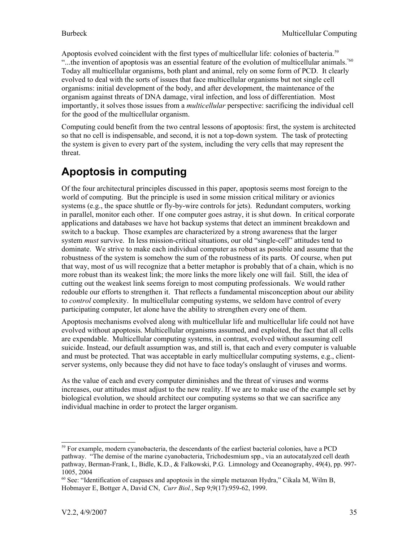Apoptosis evolved coincident with the first types of multicellular life: colonies of bacteria.<sup>[59](#page-34-0)</sup> "...the invention of apoptosis was an essential feature of the evolution of multicellular animals."<sup>[60](#page-34-1)</sup> Today all multicellular organisms, both plant and animal, rely on some form of PCD. It clearly evolved to deal with the sorts of issues that face multicellular organisms but not single cell organisms: initial development of the body, and after development, the maintenance of the organism against threats of DNA damage, viral infection, and loss of differentiation. Most importantly, it solves those issues from a *multicellular* perspective: sacrificing the individual cell for the good of the multicellular organism.

Computing could benefit from the two central lessons of apoptosis: first, the system is architected so that no cell is indispensable, and second, it is not a top-down system. The task of protecting the system is given to every part of the system, including the very cells that may represent the threat.

### **Apoptosis in computing**

Of the four architectural principles discussed in this paper, apoptosis seems most foreign to the world of computing. But the principle is used in some mission critical military or avionics systems (e.g., the space shuttle or fly-by-wire controls for jets). Redundant computers, working in parallel, monitor each other. If one computer goes astray, it is shut down. In critical corporate applications and databases we have hot backup systems that detect an imminent breakdown and switch to a backup. Those examples are characterized by a strong awareness that the larger system *must* survive. In less mission-critical situations, our old "single-cell" attitudes tend to dominate. We strive to make each individual computer as robust as possible and assume that the robustness of the system is somehow the sum of the robustness of its parts. Of course, when put that way, most of us will recognize that a better metaphor is probably that of a chain, which is no more robust than its weakest link; the more links the more likely one will fail. Still, the idea of cutting out the weakest link seems foreign to most computing professionals. We would rather redouble our efforts to strengthen it. That reflects a fundamental misconception about our ability to *control* complexity. In multicellular computing systems, we seldom have control of every participating computer, let alone have the ability to strengthen every one of them.

Apoptosis mechanisms evolved along with multicellular life and multicellular life could not have evolved without apoptosis. Multicellular organisms assumed, and exploited, the fact that all cells are expendable. Multicellular computing systems, in contrast, evolved without assuming cell suicide. Instead, our default assumption was, and still is, that each and every computer is valuable and must be protected. That was acceptable in early multicellular computing systems, e.g., clientserver systems, only because they did not have to face today's onslaught of viruses and worms.

As the value of each and every computer diminishes and the threat of viruses and worms increases, our attitudes must adjust to the new reality. If we are to make use of the example set by biological evolution, we should architect our computing systems so that we can sacrifice any individual machine in order to protect the larger organism.

<span id="page-34-0"></span><sup>&</sup>lt;sup>59</sup> For example, modern cyanobacteria, the descendants of the earliest bacterial colonies, have a PCD pathway. "The demise of the marine cyanobacteria, Trichodesmium spp., via an autocatalyzed cell death pathway, Berman-Frank, I., Bidle, K.D., & Falkowski, P.G. Limnology and Oceanography, 49(4), pp. 997- 1005, 2004

<span id="page-34-1"></span><sup>60</sup> See: "Identification of caspases and apoptosis in the simple metazoan Hydra," Cikala M, Wilm B, Hobmayer E, Bottger A, David CN, *Curr Biol.*, Sep 9;9(17):959-62, 1999.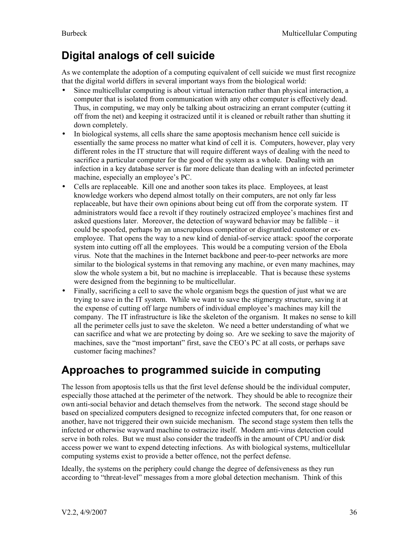## **Digital analogs of cell suicide**

As we contemplate the adoption of a computing equivalent of cell suicide we must first recognize that the digital world differs in several important ways from the biological world:

- Since multicellular computing is about virtual interaction rather than physical interaction, a computer that is isolated from communication with any other computer is effectively dead. Thus, in computing, we may only be talking about ostracizing an errant computer (cutting it off from the net) and keeping it ostracized until it is cleaned or rebuilt rather than shutting it down completely.
- In biological systems, all cells share the same apoptosis mechanism hence cell suicide is essentially the same process no matter what kind of cell it is. Computers, however, play very different roles in the IT structure that will require different ways of dealing with the need to sacrifice a particular computer for the good of the system as a whole. Dealing with an infection in a key database server is far more delicate than dealing with an infected perimeter machine, especially an employee's PC.
- Cells are replaceable. Kill one and another soon takes its place. Employees, at least knowledge workers who depend almost totally on their computers, are not only far less replaceable, but have their own opinions about being cut off from the corporate system. IT administrators would face a revolt if they routinely ostracized employee's machines first and asked questions later. Moreover, the detection of wayward behavior may be fallible – it could be spoofed, perhaps by an unscrupulous competitor or disgruntled customer or exemployee. That opens the way to a new kind of denial-of-service attack: spoof the corporate system into cutting off all the employees. This would be a computing version of the Ebola virus. Note that the machines in the Internet backbone and peer-to-peer networks are more similar to the biological systems in that removing any machine, or even many machines, may slow the whole system a bit, but no machine is irreplaceable. That is because these systems were designed from the beginning to be multicellular.
- Finally, sacrificing a cell to save the whole organism begs the question of just what we are trying to save in the IT system. While we want to save the stigmergy structure, saving it at the expense of cutting off large numbers of individual employee's machines may kill the company. The IT infrastructure is like the skeleton of the organism. It makes no sense to kill all the perimeter cells just to save the skeleton. We need a better understanding of what we can sacrifice and what we are protecting by doing so. Are we seeking to save the majority of machines, save the "most important" first, save the CEO's PC at all costs, or perhaps save customer facing machines?

### **Approaches to programmed suicide in computing**

The lesson from apoptosis tells us that the first level defense should be the individual computer, especially those attached at the perimeter of the network. They should be able to recognize their own anti-social behavior and detach themselves from the network. The second stage should be based on specialized computers designed to recognize infected computers that, for one reason or another, have not triggered their own suicide mechanism. The second stage system then tells the infected or otherwise wayward machine to ostracize itself. Modern anti-virus detection could serve in both roles. But we must also consider the tradeoffs in the amount of CPU and/or disk access power we want to expend detecting infections. As with biological systems, multicellular computing systems exist to provide a better offence, not the perfect defense.

Ideally, the systems on the periphery could change the degree of defensiveness as they run according to "threat-level" messages from a more global detection mechanism. Think of this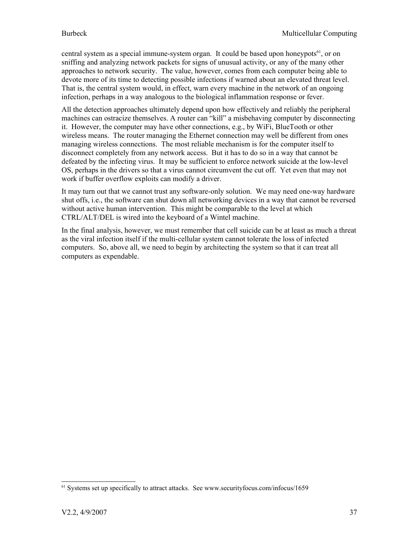central system as a special immune-system organ. It could be based upon honeypots<sup>[61](#page-36-0)</sup>, or on sniffing and analyzing network packets for signs of unusual activity, or any of the many other approaches to network security. The value, however, comes from each computer being able to devote more of its time to detecting possible infections if warned about an elevated threat level. That is, the central system would, in effect, warn every machine in the network of an ongoing infection, perhaps in a way analogous to the biological inflammation response or fever.

All the detection approaches ultimately depend upon how effectively and reliably the peripheral machines can ostracize themselves. A router can "kill" a misbehaving computer by disconnecting it. However, the computer may have other connections, e.g., by WiFi, BlueTooth or other wireless means. The router managing the Ethernet connection may well be different from ones managing wireless connections. The most reliable mechanism is for the computer itself to disconnect completely from any network access. But it has to do so in a way that cannot be defeated by the infecting virus. It may be sufficient to enforce network suicide at the low-level OS, perhaps in the drivers so that a virus cannot circumvent the cut off. Yet even that may not work if buffer overflow exploits can modify a driver.

It may turn out that we cannot trust any software-only solution. We may need one-way hardware shut offs, i.e., the software can shut down all networking devices in a way that cannot be reversed without active human intervention. This might be comparable to the level at which CTRL/ALT/DEL is wired into the keyboard of a Wintel machine.

In the final analysis, however, we must remember that cell suicide can be at least as much a threat as the viral infection itself if the multi-cellular system cannot tolerate the loss of infected computers. So, above all, we need to begin by architecting the system so that it can treat all computers as expendable.

<span id="page-36-0"></span><sup>61</sup> Systems set up specifically to attract attacks. See www.securityfocus.com/infocus/1659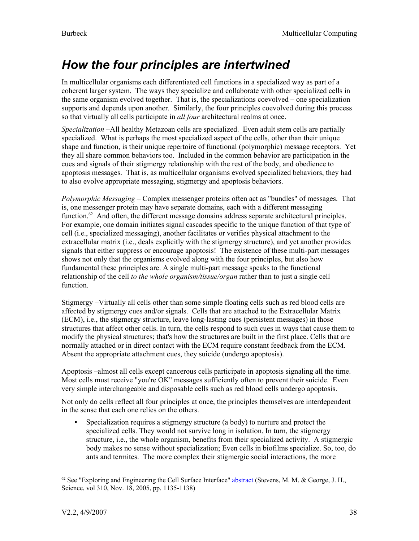# <span id="page-37-0"></span>*How the four principles are intertwined*

In multicellular organisms each differentiated cell functions in a specialized way as part of a coherent larger system. The ways they specialize and collaborate with other specialized cells in the same organism evolved together. That is, the specializations coevolved – one specialization supports and depends upon another. Similarly, the four principles coevolved during this process so that virtually all cells participate in *all four* architectural realms at once.

*Specialization* –All healthy Metazoan cells are specialized. Even adult stem cells are partially specialized. What is perhaps the most specialized aspect of the cells, other than their unique shape and function, is their unique repertoire of functional (polymorphic) message receptors. Yet they all share common behaviors too. Included in the common behavior are participation in the cues and signals of their stigmergy relationship with the rest of the body, and obedience to apoptosis messages. That is, as multicellular organisms evolved specialized behaviors, they had to also evolve appropriate messaging, stigmergy and apoptosis behaviors.

*Polymorphic Messaging* – Complex messenger proteins often act as "bundles" of messages. That is, one messenger protein may have separate domains, each with a different messaging function.<sup>[62](#page-37-1)</sup> And often, the different message domains address separate architectural principles. For example, one domain initiates signal cascades specific to the unique function of that type of cell (i.e., specialized messaging), another facilitates or verifies physical attachment to the extracellular matrix (i.e., deals explicitly with the stigmergy structure), and yet another provides signals that either suppress or encourage apoptosis! The existence of these multi-part messages shows not only that the organisms evolved along with the four principles, but also how fundamental these principles are. A single multi-part message speaks to the functional relationship of the cell *to the whole organism/tissue/organ* rather than to just a single cell function.

Stigmergy –Virtually all cells other than some simple floating cells such as red blood cells are affected by stigmergy cues and/or signals. Cells that are attached to the Extracellular Matrix (ECM), i.e., the stigmergy structure, leave long-lasting cues (persistent messages) in those structures that affect other cells. In turn, the cells respond to such cues in ways that cause them to modify the physical structures; that's how the structures are built in the first place. Cells that are normally attached or in direct contact with the ECM require constant feedback from the ECM. Absent the appropriate attachment cues, they suicide (undergo apoptosis).

Apoptosis –almost all cells except cancerous cells participate in apoptosis signaling all the time. Most cells must receive "you're OK" messages sufficiently often to prevent their suicide. Even very simple interchangeable and disposable cells such as red blood cells undergo apoptosis.

Not only do cells reflect all four principles at once, the principles themselves are interdependent in the sense that each one relies on the others.

• Specialization requires a stigmergy structure (a body) to nurture and protect the specialized cells. They would not survive long in isolation. In turn, the stigmergy structure, i.e., the whole organism, benefits from their specialized activity. A stigmergic body makes no sense without specialization; Even cells in biofilms specialize. So, too, do ants and termites. The more complex their stigmergic social interactions, the more

<span id="page-37-1"></span><sup>&</sup>lt;sup>62</sup> See "Exploring and Engineering the Cell Surface Interface" [abstract](http://www.sciencemag.org/cgi/content/abstract/310/5751/1135) (Stevens, M. M. & George, J. H., Science, vol 310, Nov. 18, 2005, pp. 1135-1138)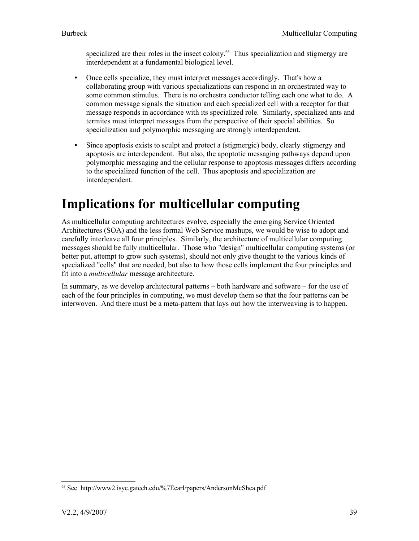specialized are their roles in the insect colony.<sup>[63](#page-38-1)</sup> Thus specialization and stigmergy are interdependent at a fundamental biological level.

- Once cells specialize, they must interpret messages accordingly. That's how a collaborating group with various specializations can respond in an orchestrated way to some common stimulus. There is no orchestra conductor telling each one what to do. A common message signals the situation and each specialized cell with a receptor for that message responds in accordance with its specialized role. Similarly, specialized ants and termites must interpret messages from the perspective of their special abilities. So specialization and polymorphic messaging are strongly interdependent.
- Since apoptosis exists to sculpt and protect a (stigmergic) body, clearly stigmergy and apoptosis are interdependent. But also, the apoptotic messaging pathways depend upon polymorphic messaging and the cellular response to apoptosis messages differs according to the specialized function of the cell. Thus apoptosis and specialization are interdependent.

# <span id="page-38-0"></span>**Implications for multicellular computing**

As multicellular computing architectures evolve, especially the emerging Service Oriented Architectures (SOA) and the less formal Web Service mashups, we would be wise to adopt and carefully interleave all four principles. Similarly, the architecture of multicellular computing messages should be fully multicellular. Those who "design" multicellular computing systems (or better put, attempt to grow such systems), should not only give thought to the various kinds of specialized "cells" that are needed, but also to how those cells implement the four principles and fit into a *multicellular* message architecture.

In summary, as we develop architectural patterns – both hardware and software – for the use of each of the four principles in computing, we must develop them so that the four patterns can be interwoven. And there must be a meta-pattern that lays out how the interweaving is to happen.

<span id="page-38-1"></span><sup>63</sup> See http://www2.isye.gatech.edu/%7Ecarl/papers/AndersonMcShea.pdf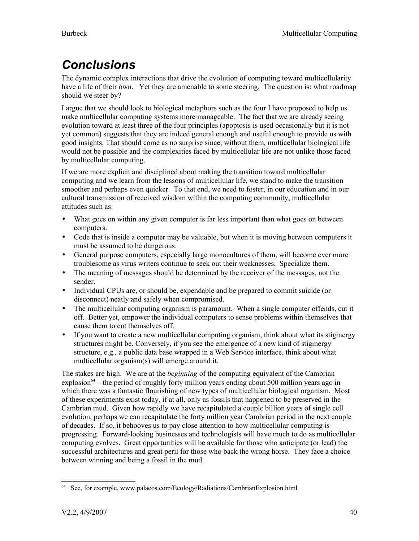# <span id="page-39-0"></span>*Conclusions*

The dynamic complex interactions that drive the evolution of computing toward multicellularity have a life of their own. Yet they are amenable to some steering. The question is: what roadmap should we steer by?

I argue that we should look to biological metaphors such as the four I have proposed to help us make multicellular computing systems more manageable. The fact that we are already seeing evolution toward at least three of the four principles (apoptosis is used occasionally but it is not yet common) suggests that they are indeed general enough and useful enough to provide us with good insights. That should come as no surprise since, without them, multicellular biological life would not be possible and the complexities faced by multicellular life are not unlike those faced by multicellular computing.

If we are more explicit and disciplined about making the transition toward multicellular computing and we learn from the lessons of multicellular life, we stand to make the transition smoother and perhaps even quicker. To that end, we need to foster, in our education and in our cultural transmission of received wisdom within the computing community, multicellular attitudes such as:

- What goes on within any given computer is far less important than what goes on between computers.
- Code that is inside a computer may be valuable, but when it is moving between computers it must be assumed to be dangerous.
- General purpose computers, especially large monocultures of them, will become ever more troublesome as virus writers continue to seek out their weaknesses. Specialize them.
- The meaning of messages should be determined by the receiver of the messages, not the sender.
- Individual CPUs are, or should be, expendable and be prepared to commit suicide (or disconnect) neatly and safely when compromised.
- The multicellular computing organism is paramount. When a single computer offends, cut it off. Better yet, empower the individual computers to sense problems within themselves that cause them to cut themselves off.
- If you want to create a new multicellular computing organism, think about what its stigmergy structures might be. Conversely, if you see the emergence of a new kind of stigmergy structure, e.g., a public data base wrapped in a Web Service interface, think about what multicellular organism(s) will emerge around it.

The stakes are high. We are at the *beginning* of the computing equivalent of the Cambrian explosion<sup>[64](#page-39-1)</sup> – the period of roughly forty million years ending about 500 million years ago in which there was a fantastic flourishing of new types of multicellular biological organism. Most of these experiments exist today, if at all, only as fossils that happened to be preserved in the Cambrian mud. Given how rapidly we have recapitulated a couple billion years of single cell evolution, perhaps we can recapitulate the forty million year Cambrian period in the next couple of decades. If so, it behooves us to pay close attention to how multicellular computing is progressing. Forward-looking businesses and technologists will have much to do as multicellular computing evolves. Great opportunities will be available for those who anticipate (or lead) the successful architectures and great peril for those who back the wrong horse. They face a choice between winning and being a fossil in the mud.

<span id="page-39-1"></span><sup>64</sup> See, for example, www.palaeos.com/Ecology/Radiations/CambrianExplosion.html